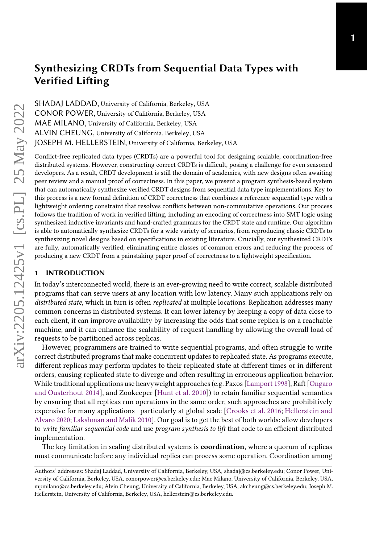SHADAJ LADDAD, University of California, Berkeley, USA CONOR POWER, University of California, Berkeley, USA MAE MILANO, University of California, Berkeley, USA ALVIN CHEUNG, University of California, Berkeley, USA JOSEPH M. HELLERSTEIN, University of California, Berkeley, USA

Conflict-free replicated data types (CRDTs) are a powerful tool for designing scalable, coordination-free distributed systems. However, constructing correct CRDTs is difficult, posing a challenge for even seasoned developers. As a result, CRDT development is still the domain of academics, with new designs often awaiting peer review and a manual proof of correctness. In this paper, we present a program synthesis-based system that can automatically synthesize verified CRDT designs from sequential data type implementations. Key to this process is a new formal definition of CRDT correctness that combines a reference sequential type with a lightweight ordering constraint that resolves conflicts between non-commutative operations. Our process follows the tradition of work in verified lifting, including an encoding of correctness into SMT logic using synthesized inductive invariants and hand-crafted grammars for the CRDT state and runtime. Our algorithm is able to automatically synthesize CRDTs for a wide variety of scenarios, from reproducing classic CRDTs to synthesizing novel designs based on specifications in existing literature. Crucially, our synthesized CRDTs are fully, automatically verified, eliminating entire classes of common errors and reducing the process of producing a new CRDT from a painstaking paper proof of correctness to a lightweight specification.

#### 1 INTRODUCTION

In today's interconnected world, there is an ever-growing need to write correct, scalable distributed programs that can serve users at any location with low latency. Many such applications rely on distributed state, which in turn is often replicated at multiple locations. Replication addresses many common concerns in distributed systems. It can lower latency by keeping a copy of data close to each client, it can improve availability by increasing the odds that some replica is on a reachable machine, and it can enhance the scalability of request handling by allowing the overall load of requests to be partitioned across replicas.

However, programmers are trained to write sequential programs, and often struggle to write correct distributed programs that make concurrent updates to replicated state. As programs execute, different replicas may perform updates to their replicated state at different times or in different orders, causing replicated state to diverge and often resulting in erroneous application behavior. While traditional applications use heavyweight approaches (e.g. Paxos [\[Lamport](#page-24-0) [1998\]](#page-24-0), Raft [\[Ongaro](#page-25-0) [and Ousterhout](#page-25-0) [2014\]](#page-25-0), and Zookeeper [\[Hunt et al.](#page-24-1) [2010\]](#page-24-1)) to retain familiar sequential semantics by ensuring that all replicas run operations in the same order, such approaches are prohibitively expensive for many applications—particularly at global scale [\[Crooks et al.](#page-23-0) [2016;](#page-23-0) [Hellerstein and](#page-24-2) [Alvaro](#page-24-2) [2020;](#page-24-2) [Lakshman and Malik](#page-24-3) [2010\]](#page-24-3). Our goal is to get the best of both worlds: allow developers to write familiar sequential code and use program synthesis to lift that code to an efficient distributed implementation.

The key limitation in scaling distributed systems is **coordination**, where a quorum of replicas must communicate before any individual replica can process some operation. Coordination among

Authors' addresses: Shadaj Laddad, University of California, Berkeley, USA, shadaj@cs.berkeley.edu; Conor Power, University of California, Berkeley, USA, conorpower@cs.berkeley.edu; Mae Milano, University of California, Berkeley, USA, mpmilano@cs.berkeley.edu; Alvin Cheung, University of California, Berkeley, USA, akcheung@cs.berkeley.edu; Joseph M. Hellerstein, University of California, Berkeley, USA, hellerstein@cs.berkeley.edu.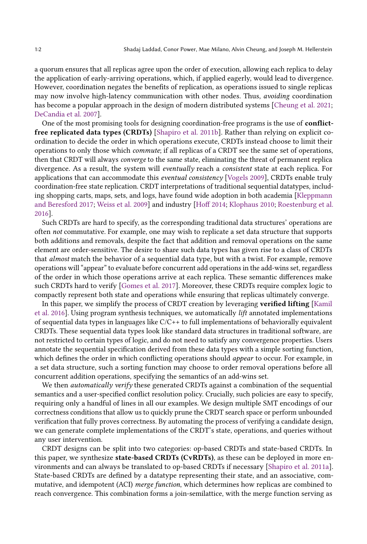a quorum ensures that all replicas agree upon the order of execution, allowing each replica to delay the application of early-arriving operations, which, if applied eagerly, would lead to divergence. However, coordination negates the benefits of replication, as operations issued to single replicas may now involve high-latency communication with other nodes. Thus, avoiding coordination has become a popular approach in the design of modern distributed systems [\[Cheung et al.](#page-23-1) [2021;](#page-23-1) [DeCandia et al.](#page-24-4) [2007\]](#page-24-4).

One of the most promising tools for designing coordination-free programs is the use of conflictfree replicated data types (CRDTs) [\[Shapiro et al.](#page-25-1) [2011b\]](#page-25-1). Rather than relying on explicit coordination to decide the order in which operations execute, CRDTs instead choose to limit their operations to only those which commute; if all replicas of a CRDT see the same set of operations, then that CRDT will always converge to the same state, eliminating the threat of permanent replica divergence. As a result, the system will eventually reach a consistent state at each replica. For applications that can accommodate this eventual consistency [\[Vogels](#page-25-2) [2009\]](#page-25-2), CRDTs enable truly coordination-free state replication. CRDT interpretations of traditional sequential datatypes, including shopping carts, maps, sets, and logs, have found wide adoption in both academia [\[Kleppmann](#page-24-5) [and Beresford](#page-24-5) [2017;](#page-24-5) [Weiss et al.](#page-25-3) [2009\]](#page-25-3) and industry [\[Hoff](#page-24-6) [2014;](#page-24-6) [Klophaus](#page-24-7) [2010;](#page-24-7) [Roestenburg et al.](#page-25-4) [2016\]](#page-25-4).

Such CRDTs are hard to specify, as the corresponding traditional data structures' operations are often not commutative. For example, one may wish to replicate a set data structure that supports both additions and removals, despite the fact that addition and removal operations on the same element are order-sensitive. The desire to share such data types has given rise to a class of CRDTs that almost match the behavior of a sequential data type, but with a twist. For example, remove operations will "appear" to evaluate before concurrent add operations in the add-wins set, regardless of the order in which those operations arrive at each replica. These semantic differences make such CRDTs hard to verify [\[Gomes et al.](#page-24-8) [2017\]](#page-24-8). Moreover, these CRDTs require complex logic to compactly represent both state and operations while ensuring that replicas ultimately converge.

In this paper, we simplify the process of CRDT creation by leveraging **verified lifting** [\[Kamil](#page-24-9)] [et al.](#page-24-9) [2016\]](#page-24-9). Using program synthesis techniques, we automatically lift annotated implementations of sequential data types in languages like C/C++ to full implementations of behaviorally equivalent CRDTs. These sequential data types look like standard data structures in traditional software, are not restricted to certain types of logic, and do not need to satisfy any convergence properties. Users annotate the sequential specification derived from these data types with a simple sorting function, which defines the order in which conflicting operations should *appear* to occur. For example, in a set data structure, such a sorting function may choose to order removal operations before all concurrent addition operations, specifying the semantics of an add-wins set.

We then *automatically verify* these generated CRDTs against a combination of the sequential semantics and a user-specified conflict resolution policy. Crucially, such policies are easy to specify, requiring only a handful of lines in all our examples. We design multiple SMT encodings of our correctness conditions that allow us to quickly prune the CRDT search space or perform unbounded verification that fully proves correctness. By automating the process of verifying a candidate design, we can generate complete implementations of the CRDT's state, operations, and queries without any user intervention.

CRDT designs can be split into two categories: op-based CRDTs and state-based CRDTs. In this paper, we synthesize state-based CRDTs (CvRDTs), as these can be deployed in more environments and can always be translated to op-based CRDTs if necessary [\[Shapiro et al.](#page-25-5) [2011a\]](#page-25-5). State-based CRDTs are defined by a datatype representing their state, and an associative, commutative, and idempotent (ACI) merge function, which determines how replicas are combined to reach convergence. This combination forms a join-semilattice, with the merge function serving as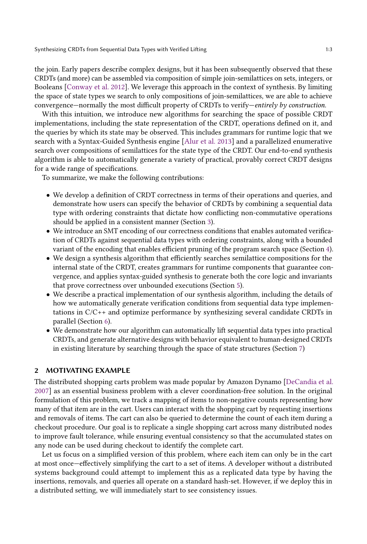the join. Early papers describe complex designs, but it has been subsequently observed that these CRDTs (and more) can be assembled via composition of simple join-semilattices on sets, integers, or Booleans [\[Conway et al.](#page-23-2) [2012\]](#page-23-2). We leverage this approach in the context of synthesis. By limiting the space of state types we search to only compositions of join-semilattices, we are able to achieve convergence—normally the most difficult property of CRDTs to verify—entirely by construction.

With this intuition, we introduce new algorithms for searching the space of possible CRDT implementations, including the state representation of the CRDT, operations defined on it, and the queries by which its state may be observed. This includes grammars for runtime logic that we search with a Syntax-Guided Synthesis engine [\[Alur et al.](#page-23-3) [2013\]](#page-23-3) and a parallelized enumerative search over compositions of semilattices for the state type of the CRDT. Our end-to-end synthesis algorithm is able to automatically generate a variety of practical, provably correct CRDT designs for a wide range of specifications.

To summarize, we make the following contributions:

- We develop a definition of CRDT correctness in terms of their operations and queries, and demonstrate how users can specify the behavior of CRDTs by combining a sequential data type with ordering constraints that dictate how conflicting non-commutative operations should be applied in a consistent manner (Section [3\)](#page-4-0).
- We introduce an SMT encoding of our correctness conditions that enables automated verification of CRDTs against sequential data types with ordering constraints, along with a bounded variant of the encoding that enables efficient pruning of the program search space (Section [4\)](#page-6-0).
- We design a synthesis algorithm that efficiently searches semilattice compositions for the internal state of the CRDT, creates grammars for runtime components that guarantee convergence, and applies syntax-guided synthesis to generate both the core logic and invariants that prove correctness over unbounded executions (Section [5\)](#page-9-0).
- We describe a practical implementation of our synthesis algorithm, including the details of how we automatically generate verification conditions from sequential data type implementations in C/C++ and optimize performance by synthesizing several candidate CRDTs in parallel (Section [6\)](#page-15-0).
- We demonstrate how our algorithm can automatically lift sequential data types into practical CRDTs, and generate alternative designs with behavior equivalent to human-designed CRDTs in existing literature by searching through the space of state structures (Section [7\)](#page-17-0)

#### 2 MOTIVATING EXAMPLE

The distributed shopping carts problem was made popular by Amazon Dynamo [\[DeCandia et al.](#page-24-4) [2007\]](#page-24-4) as an essential business problem with a clever coordination-free solution. In the original formulation of this problem, we track a mapping of items to non-negative counts representing how many of that item are in the cart. Users can interact with the shopping cart by requesting insertions and removals of items. The cart can also be queried to determine the count of each item during a checkout procedure. Our goal is to replicate a single shopping cart across many distributed nodes to improve fault tolerance, while ensuring eventual consistency so that the accumulated states on any node can be used during checkout to identify the complete cart.

Let us focus on a simplified version of this problem, where each item can only be in the cart at most once—effectively simplifying the cart to a set of items. A developer without a distributed systems background could attempt to implement this as a replicated data type by having the insertions, removals, and queries all operate on a standard hash-set. However, if we deploy this in a distributed setting, we will immediately start to see consistency issues.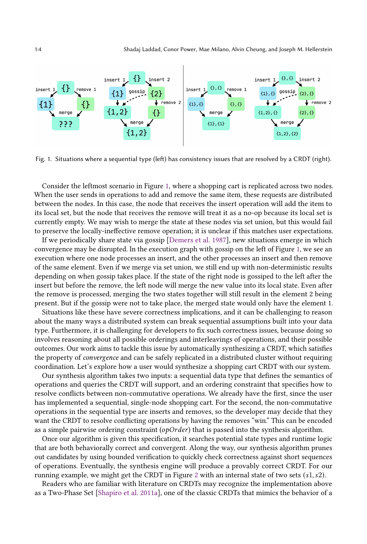<span id="page-3-0"></span>

Fig. 1. Situations where a sequential type (left) has consistency issues that are resolved by a CRDT (right).

Consider the leftmost scenario in Figure [1,](#page-3-0) where a shopping cart is replicated across two nodes. When the user sends in operations to add and remove the same item, these requests are distributed between the nodes. In this case, the node that receives the insert operation will add the item to its local set, but the node that receives the remove will treat it as a no-op because its local set is currently empty. We may wish to merge the state at these nodes via set union, but this would fail to preserve the locally-ineffective remove operation; it is unclear if this matches user expectations.

If we periodically share state via gossip [\[Demers et al.](#page-24-10) [1987\]](#page-24-10), new situations emerge in which convergence may be disrupted. In the execution graph with gossip on the left of Figure [1,](#page-3-0) we see an execution where one node processes an insert, and the other processes an insert and then remove of the same element. Even if we merge via set union, we still end up with non-deterministic results depending on when gossip takes place. If the state of the right node is gossiped to the left after the insert but before the remove, the left node will merge the new value into its local state. Even after the remove is processed, merging the two states together will still result in the element 2 being present. But if the gossip were not to take place, the merged state would only have the element 1.

Situations like these have severe correctness implications, and it can be challenging to reason about the many ways a distributed system can break sequential assumptions built into your data type. Furthermore, it is challenging for developers to fix such correctness issues, because doing so involves reasoning about all possible orderings and interleavings of operations, and their possible outcomes. Our work aims to tackle this issue by automatically synthesizing a CRDT, which satisfies the property of convergence and can be safely replicated in a distributed cluster without requiring coordination. Let's explore how a user would synthesize a shopping cart CRDT with our system.

Our synthesis algorithm takes two inputs: a sequential data type that defines the semantics of operations and queries the CRDT will support, and an ordering constraint that specifies how to resolve conflicts between non-commutative operations. We already have the first, since the user has implemented a sequential, single-node shopping cart. For the second, the non-commutative operations in the sequential type are inserts and removes, so the developer may decide that they want the CRDT to resolve conflicting operations by having the removes "win." This can be encoded as a simple pairwise ordering constraint  $(\rho D \cap \ell e r)$  that is passed into the synthesis algorithm.

Once our algorithm is given this specification, it searches potential state types and runtime logic that are both behaviorally correct and convergent. Along the way, our synthesis algorithm prunes out candidates by using bounded verification to quickly check correctness against short sequences of operations. Eventually, the synthesis engine will produce a provably correct CRDT. For our running example, we might get the CRDT in Figure [2](#page-4-1) with an internal state of two sets  $(s1, s2)$ .

Readers who are familiar with literature on CRDTs may recognize the implementation above as a Two-Phase Set [\[Shapiro et al.](#page-25-5) [2011a\]](#page-25-5), one of the classic CRDTs that mimics the behavior of a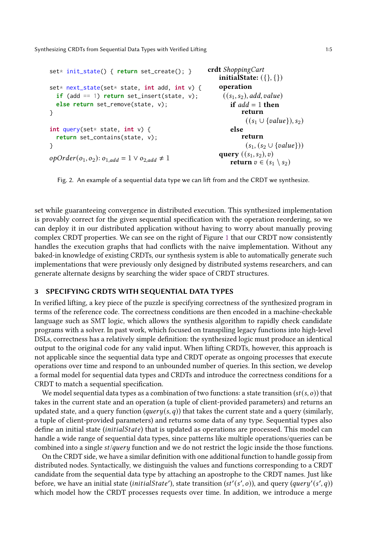```
set* init_state() { return set_create(); }
set* next_state(set* state, int add, int v) {
  if (add == 1) return set_insert(state, v);
  else return set_remove(state, v);
}
int query(set* state, int v) {
  return set_contains(state, v);
}
opOrder(o_1, o_2): o_{1, add} = 1 \vee o_{2, add} \neq 1crdt ShoppingCart
                                                          initialState: ({},{{})operation
                                                           ((s_1, s_2), add, value)if add = 1 then
                                                                  return
                                                                   ((s_1 \cup \{value\}), s_2)else
                                                                  return
                                                                   (s_1, (s_2 \cup \{value\}))query ((s_1, s_2), v)return v \in (s_1 \setminus s_2)
```
Fig. 2. An example of a sequential data type we can lift from and the CRDT we synthesize.

set while guaranteeing convergence in distributed execution. This synthesized implementation is provably correct for the given sequential specification with the operation reordering, so we can deploy it in our distributed application without having to worry about manually proving complex CRDT properties. We can see on the right of Figure [1](#page-3-0) that our CRDT now consistently handles the execution graphs that had conflicts with the naive implementation. Without any baked-in knowledge of existing CRDTs, our synthesis system is able to automatically generate such implementations that were previously only designed by distributed systems researchers, and can generate alternate designs by searching the wider space of CRDT structures.

## <span id="page-4-0"></span>3 SPECIFYING CRDTS WITH SEQUENTIAL DATA TYPES

In verified lifting, a key piece of the puzzle is specifying correctness of the synthesized program in terms of the reference code. The correctness conditions are then encoded in a machine-checkable language such as SMT logic, which allows the synthesis algorithm to rapidly check candidate programs with a solver. In past work, which focused on transpiling legacy functions into high-level DSLs, correctness has a relatively simple definition: the synthesized logic must produce an identical output to the original code for any valid input. When lifting CRDTs, however, this approach is not applicable since the sequential data type and CRDT operate as ongoing processes that execute operations over time and respond to an unbounded number of queries. In this section, we develop a formal model for sequential data types and CRDTs and introduce the correctness conditions for a CRDT to match a sequential specification.

We model sequential data types as a combination of two functions: a state transition  $(st(s, o))$  that takes in the current state and an operation (a tuple of client-provided parameters) and returns an updated state, and a query function  $(\text{query}(s, q))$  that takes the current state and a query (similarly, a tuple of client-provided parameters) and returns some data of any type. Sequential types also define an initial state (*initial State*) that is updated as operations are processed. This model can handle a wide range of sequential data types, since patterns like multiple operations/queries can be combined into a single  $st/query$  function and we do not restrict the logic inside the those functions.

On the CRDT side, we have a similar definition with one additional function to handle gossip from distributed nodes. Syntactically, we distinguish the values and functions corresponding to a CRDT candidate from the sequential data type by attaching an apostrophe to the CRDT names. Just like before, we have an initial state (initialState'), state transition (st'(s', o)), and query (query'(s', q)) which model how the CRDT processes requests over time. In addition, we introduce a merge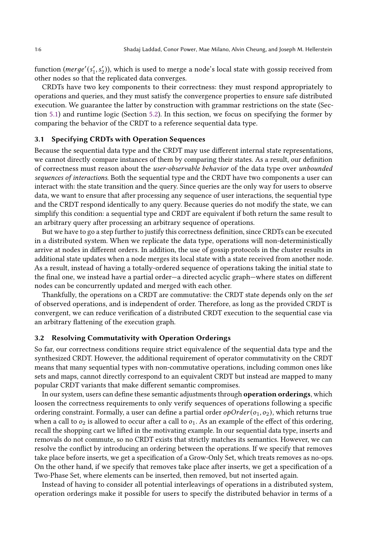function ( $\text{merge}'(s'_1, s'_2)$ ), which is used to merge a node's local state with gossip received from other nodes so that the replicated data converges.

CRDTs have two key components to their correctness: they must respond appropriately to operations and queries, and they must satisfy the convergence properties to ensure safe distributed execution. We guarantee the latter by construction with grammar restrictions on the state (Section [5.1\)](#page-10-0) and runtime logic (Section [5.2\)](#page-11-0). In this section, we focus on specifying the former by comparing the behavior of the CRDT to a reference sequential data type.

## Specifying CRDTs with Operation Sequences

Because the sequential data type and the CRDT may use different internal state representations, we cannot directly compare instances of them by comparing their states. As a result, our definition of correctness must reason about the user-observable behavior of the data type over unbounded sequences of interactions. Both the sequential type and the CRDT have two components a user can interact with: the state transition and the query. Since queries are the only way for users to observe data, we want to ensure that after processing any sequence of user interactions, the sequential type and the CRDT respond identically to any query. Because queries do not modify the state, we can simplify this condition: a sequential type and CRDT are equivalent if both return the same result to an arbitrary query after processing an arbitrary sequence of operations.

But we have to go a step further to justify this correctness definition, since CRDTs can be executed in a distributed system. When we replicate the data type, operations will non-deterministically arrive at nodes in different orders. In addition, the use of gossip protocols in the cluster results in additional state updates when a node merges its local state with a state received from another node. As a result, instead of having a totally-ordered sequence of operations taking the initial state to the final one, we instead have a partial order—a directed acyclic graph—where states on different nodes can be concurrently updated and merged with each other.

Thankfully, the operations on a CRDT are commutative: the CRDT state depends only on the set of observed operations, and is independent of order. Therefore, as long as the provided CRDT is convergent, we can reduce verification of a distributed CRDT execution to the sequential case via an arbitrary flattening of the execution graph.

### 3.2 Resolving Commutativity with Operation Orderings

So far, our correctness conditions require strict equivalence of the sequential data type and the synthesized CRDT. However, the additional requirement of operator commutativity on the CRDT means that many sequential types with non-commutative operations, including common ones like sets and maps, cannot directly correspond to an equivalent CRDT but instead are mapped to many popular CRDT variants that make different semantic compromises.

In our system, users can define these semantic adjustments through operation orderings, which loosen the correctness requirements to only verify sequences of operations following a specific ordering constraint. Formally, a user can define a partial order  $opOrder(o_1, o_2)$ , which returns true when a call to  $o_2$  is allowed to occur after a call to  $o_1$ . As an example of the effect of this ordering, recall the shopping cart we lifted in the motivating example. In our sequential data type, inserts and removals do not commute, so no CRDT exists that strictly matches its semantics. However, we can resolve the conflict by introducing an ordering between the operations. If we specify that removes take place before inserts, we get a specification of a Grow-Only Set, which treats removes as no-ops. On the other hand, if we specify that removes take place after inserts, we get a specification of a Two-Phase Set, where elements can be inserted, then removed, but not inserted again.

Instead of having to consider all potential interleavings of operations in a distributed system, operation orderings make it possible for users to specify the distributed behavior in terms of a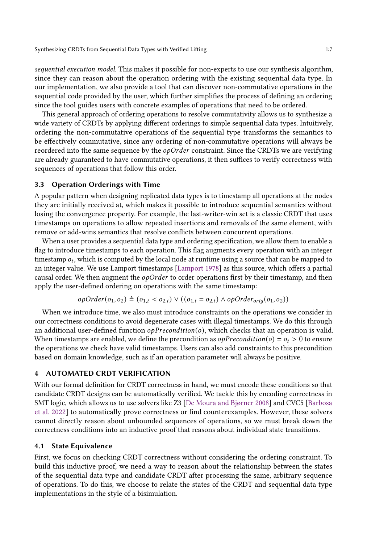sequential execution model. This makes it possible for non-experts to use our synthesis algorithm, since they can reason about the operation ordering with the existing sequential data type. In our implementation, we also provide a tool that can discover non-commutative operations in the sequential code provided by the user, which further simplifies the process of defining an ordering since the tool guides users with concrete examples of operations that need to be ordered.

This general approach of ordering operations to resolve commutativity allows us to synthesize a wide variety of CRDTs by applying different orderings to simple sequential data types. Intuitively, ordering the non-commutative operations of the sequential type transforms the semantics to be effectively commutative, since any ordering of non-commutative operations will always be reordered into the same sequence by the  $opOrder$  constraint. Since the CRDTs we are verifying are already guaranteed to have commutative operations, it then suffices to verify correctness with sequences of operations that follow this order.

#### 3.3 Operation Orderings with Time

A popular pattern when designing replicated data types is to timestamp all operations at the nodes they are initially received at, which makes it possible to introduce sequential semantics without losing the convergence property. For example, the last-writer-win set is a classic CRDT that uses timestamps on operations to allow repeated insertions and removals of the same element, with remove or add-wins semantics that resolve conflicts between concurrent operations.

When a user provides a sequential data type and ordering specification, we allow them to enable a flag to introduce timestamps to each operation. This flag augments every operation with an integer timestamp  $o_t$ , which is computed by the local node at runtime using a source that can be mapped to an integer value. We use Lamport timestamps [\[Lamport](#page-24-11) [1978\]](#page-24-11) as this source, which offers a partial causal order. We then augment the  $o\rho Order$  to order operations first by their timestamp, and then apply the user-defined ordering on operations with the same timestamp:

$$
opOrder(o_1, o_2) \triangleq (o_{1,t} < o_{2,t}) \vee ((o_{1,t} = o_{2,t}) \wedge opOrder_{orig}(o_1, o_2))
$$

When we introduce time, we also must introduce constraints on the operations we consider in our correctness conditions to avoid degenerate cases with illegal timestamps. We do this through an additional user-defined function  $opPrecondition(o)$ , which checks that an operation is valid. When timestamps are enabled, we define the precondition as  $opPrecondition(o) = o_t > 0$  to ensure the operations we check have valid timestamps. Users can also add constraints to this precondition based on domain knowledge, such as if an operation parameter will always be positive.

## <span id="page-6-0"></span>4 AUTOMATED CRDT VERIFICATION

With our formal definition for CRDT correctness in hand, we must encode these conditions so that candidate CRDT designs can be automatically verified. We tackle this by encoding correctness in SMT logic, which allows us to use solvers like Z3 [\[De Moura and Bjørner](#page-23-4) [2008\]](#page-23-4) and CVC5 [\[Barbosa](#page-23-5) [et al.](#page-23-5) [2022\]](#page-23-5) to automatically prove correctness or find counterexamples. However, these solvers cannot directly reason about unbounded sequences of operations, so we must break down the correctness conditions into an inductive proof that reasons about individual state transitions.

#### <span id="page-6-1"></span>4.1 State Equivalence

First, we focus on checking CRDT correctness without considering the ordering constraint. To build this inductive proof, we need a way to reason about the relationship between the states of the sequential data type and candidate CRDT after processing the same, arbitrary sequence of operations. To do this, we choose to relate the states of the CRDT and sequential data type implementations in the style of a bisimulation.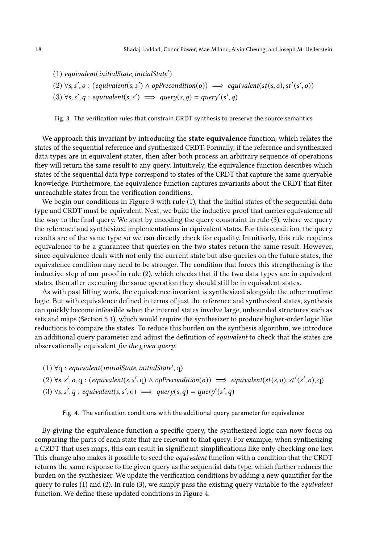<span id="page-7-0"></span>(1) equivalent(initialState, initialState′ ) (2)  $\forall s, s', o : (equivalent(s, s') \land opPrecondition(o)) \implies equivalent(st(s, o), st'(s', o))$ (3)  $\forall s, s', q : equivalent(s, s') \implies query(s, q) = query(s', q)$ 

Fig. 3. The verification rules that constrain CRDT synthesis to preserve the source semantics

We approach this invariant by introducing the **state equivalence** function, which relates the states of the sequential reference and synthesized CRDT. Formally, if the reference and synthesized data types are in equivalent states, then after both process an arbitrary sequence of operations they will return the same result to any query. Intuitively, the equivalence function describes which states of the sequential data type correspond to states of the CRDT that capture the same queryable knowledge. Furthermore, the equivalence function captures invariants about the CRDT that filter unreachable states from the verification conditions.

We begin our conditions in Figure [3](#page-7-0) with rule (1), that the initial states of the sequential data type and CRDT must be equivalent. Next, we build the inductive proof that carries equivalence all the way to the final query. We start by encoding the query constraint in rule (3), where we query the reference and synthesized implementations in equivalent states. For this condition, the query results are of the same type so we can directly check for equality. Intuitively, this rule requires equivalence to be a guarantee that queries on the two states return the same result. However, since equivalence deals with not only the current state but also queries on the future states, the equivalence condition may need to be stronger. The condition that forces this strengthening is the inductive step of our proof in rule (2), which checks that if the two data types are in equivalent states, then after executing the same operation they should still be in equivalent states.

As with past lifting work, the equivalence invariant is synthesized alongside the other runtime logic. But with equivalence defined in terms of just the reference and synthesized states, synthesis can quickly become infeasible when the internal states involve large, unbounded structures such as sets and maps (Section [5.1\)](#page-10-0), which would require the synthesizer to produce higher-order logic like reductions to compare the states. To reduce this burden on the synthesis algorithm, we introduce an additional query parameter and adjust the definition of equivalent to check that the states are observationally equivalent for the given query.

<span id="page-7-1"></span> $(1)$   $\forall$ q : equivalent(initialState, initialState', q)

(2)  $\forall s, s', o, q : (equivalent(s, s', q) \land opPrecondition(o)) \implies equivalent(st(s, o), st'(s', o), q)$ (3)  $\forall s, s', q : equivalent(s, s', q) \implies query(s, q) = query(s', q)$ 

Fig. 4. The verification conditions with the additional query parameter for equivalence

By giving the equivalence function a specific query, the synthesized logic can now focus on comparing the parts of each state that are relevant to that query. For example, when synthesizing a CRDT that uses maps, this can result in significant simplifications like only checking one key. This change also makes it possible to seed the equivalent function with a condition that the CRDT returns the same response to the given query as the sequential data type, which further reduces the burden on the synthesizer. We update the verification conditions by adding a new quantifier for the query to rules (1) and (2). In rule (3), we simply pass the existing query variable to the *equivalent* function. We define these updated conditions in Figure [4.](#page-7-1)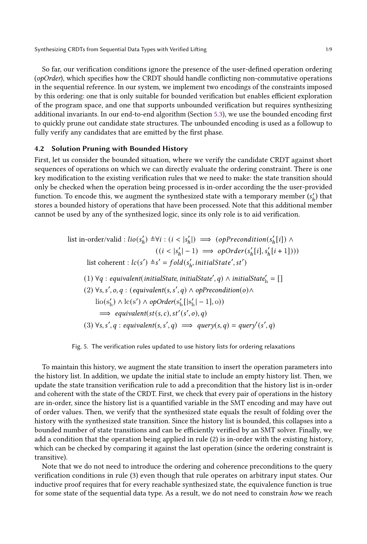So far, our verification conditions ignore the presence of the user-defined operation ordering ( $opOrder$ ), which specifies how the CRDT should handle conflicting non-commutative operations in the sequential reference. In our system, we implement two encodings of the constraints imposed by this ordering: one that is only suitable for bounded verification but enables efficient exploration of the program space, and one that supports unbounded verification but requires synthesizing additional invariants. In our end-to-end algorithm (Section [5.3\)](#page-15-1), we use the bounded encoding first to quickly prune out candidate state structures. The unbounded encoding is used as a followup to fully verify any candidates that are emitted by the first phase.

## 4.2 Solution Pruning with Bounded History

First, let us consider the bounded situation, where we verify the candidate CRDT against short sequences of operations on which we can directly evaluate the ordering constraint. There is one key modification to the existing verification rules that we need to make: the state transition should only be checked when the operation being processed is in-order according the the user-provided function. To encode this, we augment the synthesized state with a temporary member  $(s'_h)$  that stores a bounded history of operations that have been processed. Note that this additional member cannot be used by any of the synthesized logic, since its only role is to aid verification.

<span id="page-8-0"></span>list in-order/valid : 
$$
lio(s'_h) \triangleq \forall i : (i < |s'_h|) \implies (opPrecondition(s'_h[i]) \land ((i < |s'_h|-1) \implies opOrder(s'_h[i], s'_h[i+1]))
$$
)\nlist coherent :  $lc(s') \triangleq s' = fold(s'_h, initialState', st')$ \n(1)  $\forall q : equivalent(initialState, initialState', q) \land initialState'_h = []$ \n(2)  $\forall s, s', o, q : (equivalent(s, s', q) \land opPrecondition(o) \land \text{lio}(s'_h) \land \text{lc}(s') \land opOrder(s'_h[|s'_h|-1], o))$ \n $\implies equivalent(st(s, c), st'(s', o), q)$ \n(3)  $\forall s, s', q : equivalent(s, s', q) \implies query(s, q) = query(s', q)$ 

Fig. 5. The verification rules updated to use history lists for ordering relaxations

To maintain this history, we augment the state transition to insert the operation parameters into the history list. In addition, we update the initial state to include an empty history list. Then, we update the state transition verification rule to add a precondition that the history list is in-order and coherent with the state of the CRDT. First, we check that every pair of operations in the history are in-order, since the history list is a quantified variable in the SMT encoding and may have out of order values. Then, we verify that the synthesized state equals the result of folding over the history with the synthesized state transition. Since the history list is bounded, this collapses into a bounded number of state transitions and can be efficiently verified by an SMT solver. Finally, we add a condition that the operation being applied in rule (2) is in-order with the existing history, which can be checked by comparing it against the last operation (since the ordering constraint is transitive).

Note that we do not need to introduce the ordering and coherence preconditions to the query verification conditions in rule (3) even though that rule operates on arbitrary input states. Our inductive proof requires that for every reachable synthesized state, the equivalence function is true for some state of the sequential data type. As a result, we do not need to constrain how we reach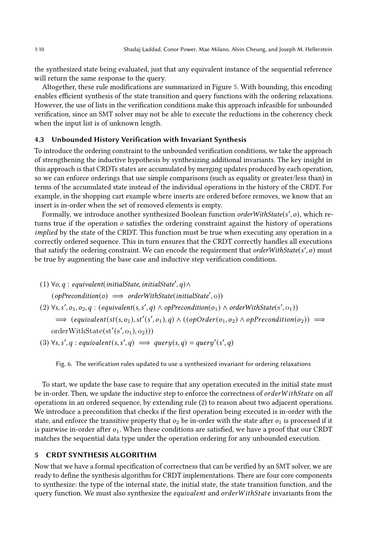the synthesized state being evaluated, just that any equivalent instance of the sequential reference will return the same response to the query.

Altogether, these rule modifications are summarized in Figure [5.](#page-8-0) With bounding, this encoding enables efficient synthesis of the state transition and query functions with the ordering relaxations. However, the use of lists in the verification conditions make this approach infeasible for unbounded verification, since an SMT solver may not be able to execute the reductions in the coherency check when the input list is of unknown length.

### 4.3 Unbounded History Verification with Invariant Synthesis

To introduce the ordering constraint to the unbounded verification conditions, we take the approach of strengthening the inductive hypothesis by synthesizing additional invariants. The key insight in this approach is that CRDTs states are accumulated by merging updates produced by each operation, so we can enforce orderings that use simple comparisons (such as equality or greater/less than) in terms of the accumulated state instead of the individual operations in the history of the CRDT. For example, in the shopping cart example where inserts are ordered before removes, we know that an insert is in-order when the set of removed elements is empty.

Formally, we introduce another synthesized Boolean function orderWithState(s', o), which returns true if the operation  $o$  satisfies the ordering constraint against the history of operations implied by the state of the CRDT. This function must be true when executing any operation in a correctly ordered sequence. This in turn ensures that the CRDT correctly handles all executions that satisfy the ordering constraint. We can encode the requirement that orderWithState(s', o) must be true by augmenting the base case and inductive step verification conditions.

- $(1) \; \forall o, q : equivalent (initialState, initialState', q) \land$  $(opPrecondition(o) \implies orderWithState(initalState', o))$
- (2)  $\forall s, s', o_1, o_2, q : (equivalent(s, s', q) \land opPrecondition(o_1) \land orderWithState(s', o_1))$  $\implies$  (equivalent(st(s, o<sub>1</sub>), st'(s', o<sub>1</sub>), q)  $\land$  ((opOrder(o<sub>1</sub>, o<sub>2</sub>)  $\land$  opPrecondition(o<sub>2</sub>))  $\implies$

 $orderWithState(st'(s', o_1), o_2)))$ 

(3)  $\forall s, s', q : equivalent(s, s', q) \implies query(s, q) = query(s', q)$ 

Fig. 6. The verification rules updated to use a synthesized invariant for ordering relaxations

To start, we update the base case to require that any operation executed in the initial state must be in-order. Then, we update the inductive step to enforce the correctness of order WithState on all operations in an ordered sequence, by extending rule (2) to reason about two adjacent operations. We introduce a precondition that checks if the first operation being executed is in-order with the state, and enforce the transitive property that  $o_2$  be in-order with the state after  $o_1$  is processed if it is pairwise in-order after  $o_1$ . When these conditions are satisfied, we have a proof that our CRDT matches the sequential data type under the operation ordering for any unbounded execution.

## <span id="page-9-0"></span>5 CRDT SYNTHESIS ALGORITHM

Now that we have a formal specification of correctness that can be verified by an SMT solver, we are ready to define the synthesis algorithm for CRDT implementations. There are four core components to synthesize: the type of the internal state, the initial state, the state transition function, and the query function. We must also synthesize the *equivalent* and orderWithState invariants from the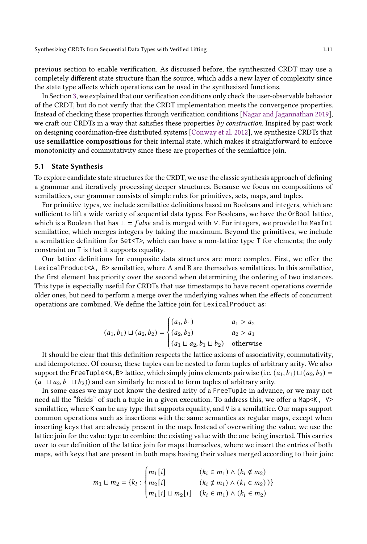previous section to enable verification. As discussed before, the synthesized CRDT may use a completely different state structure than the source, which adds a new layer of complexity since the state type affects which operations can be used in the synthesized functions.

In Section [3,](#page-4-0) we explained that our verification conditions only check the user-observable behavior of the CRDT, but do not verify that the CRDT implementation meets the convergence properties. Instead of checking these properties through verification conditions [\[Nagar and Jagannathan](#page-25-6) [2019\]](#page-25-6), we craft our CRDTs in a way that satisfies these properties by construction. Inspired by past work on designing coordination-free distributed systems [\[Conway et al.](#page-23-2) [2012\]](#page-23-2), we synthesize CRDTs that use semilattice compositions for their internal state, which makes it straightforward to enforce monotonicity and commutativity since these are properties of the semilattice join.

## <span id="page-10-0"></span>5.1 State Synthesis

To explore candidate state structures for the CRDT, we use the classic synthesis approach of defining a grammar and iteratively processing deeper structures. Because we focus on compositions of semilattices, our grammar consists of simple rules for primitives, sets, maps, and tuples.

For primitive types, we include semilattice definitions based on Booleans and integers, which are sufficient to lift a wide variety of sequential data types. For Booleans, we have the OrBool lattice, which is a Boolean that has  $\bot = false$  and is merged with  $\vee$ . For integers, we provide the MaxInt semilattice, which merges integers by taking the maximum. Beyond the primitives, we include a semilattice definition for  $Set < T$ , which can have a non-lattice type T for elements; the only constraint on T is that it supports equality.

Our lattice definitions for composite data structures are more complex. First, we offer the LexicalProduct<A, B> semilattice, where A and B are themselves semilattices. In this semilattice, the first element has priority over the second when determining the ordering of two instances. This type is especially useful for CRDTs that use timestamps to have recent operations override older ones, but need to perform a merge over the underlying values when the effects of concurrent operations are combined. We define the lattice join for LexicalProduct as:

$$
(a_1, b_1) \sqcup (a_2, b_2) = \begin{cases} (a_1, b_1) & a_1 > a_2 \\ (a_2, b_2) & a_2 > a_1 \\ (a_1 \sqcup a_2, b_1 \sqcup b_2) & \text{otherwise} \end{cases}
$$

 It should be clear that this definition respects the lattice axioms of associativity, commutativity, and idempotence. Of course, these tuples can be nested to form tuples of arbitrary arity. We also support the FreeTuple<A,B> lattice, which simply joins elements pairwise (i.e.  $(a_1, b_1) \sqcup (a_2, b_2) =$  $(a_1 \sqcup a_2, b_1 \sqcup b_2)$  and can similarly be nested to form tuples of arbitrary arity.

In some cases we may not know the desired arity of a FreeTuple in advance, or we may not need all the "fields" of such a tuple in a given execution. To address this, we offer a Map<K, V> semilattice, where K can be any type that supports equality, and V is a semilattice. Our maps support common operations such as insertions with the same semantics as regular maps, except when inserting keys that are already present in the map. Instead of overwriting the value, we use the lattice join for the value type to combine the existing value with the one being inserted. This carries over to our definition of the lattice join for maps themselves, where we insert the entries of both maps, with keys that are present in both maps having their values merged according to their join:

$$
m_1 \sqcup m_2 = \{k_i : \begin{cases} m_1[i] & (k_i \in m_1) \land (k_i \notin m_2) \\ m_2[i] & (k_i \notin m_1) \land (k_i \in m_2)) \} \\ m_1[i] \sqcup m_2[i] & (k_i \in m_1) \land (k_i \in m_2) \end{cases}
$$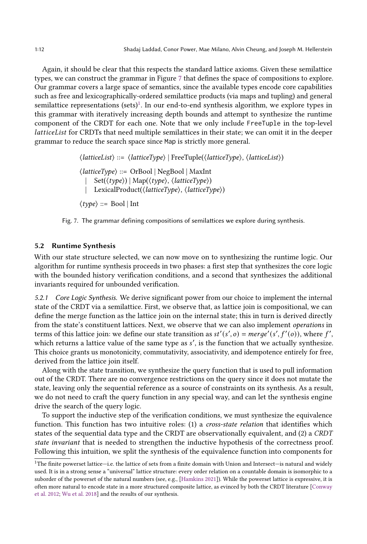Again, it should be clear that this respects the standard lattice axioms. Given these semilattice types, we can construct the grammar in Figure [7](#page-11-1) that defines the space of compositions to explore. Our grammar covers a large space of semantics, since the available types encode core capabilities such as free and lexicographically-ordered semilattice products (via maps and tupling) and general semilattice representations (sets) $^1$  $^1$ . In our end-to-end synthesis algorithm, we explore types in this grammar with iteratively increasing depth bounds and attempt to synthesize the runtime component of the CRDT for each one. Note that we only include FreeTuple in the top-level latticeList for CRDTs that need multiple semilattices in their state; we can omit it in the deeper grammar to reduce the search space since Map is strictly more general.

> <span id="page-11-1"></span>⟨latticeList⟩ ::= ⟨latticeType⟩ | FreeTuple(⟨latticeType⟩, ⟨latticeList⟩)  $\langle latticeType \rangle ::=$  OrBool | NegBool | MaxInt  $|\operatorname{Set}(\langle \operatorname{type} \rangle) | \operatorname{Map}(\langle \operatorname{type} \rangle, \langle \operatorname{latticeType} \rangle)$ | LexicalProduct(⟨latticeType⟩, ⟨latticeType⟩)  $\langle type \rangle ::= \text{Bool} | \text{Int}$

Fig. 7. The grammar defining compositions of semilattices we explore during synthesis.

#### <span id="page-11-0"></span>5.2 Runtime Synthesis

With our state structure selected, we can now move on to synthesizing the runtime logic. Our algorithm for runtime synthesis proceeds in two phases: a first step that synthesizes the core logic with the bounded history verification conditions, and a second that synthesizes the additional invariants required for unbounded verification.

5.2.1 Core Logic Synthesis. We derive significant power from our choice to implement the internal state of the CRDT via a semilattice. First, we observe that, as lattice join is compositional, we can define the merge function as the lattice join on the internal state; this in turn is derived directly from the state's constituent lattices. Next, we observe that we can also implement operations in terms of this lattice join: we define our state transition as  $st'(s', o) = merge'(s', f'(o))$ , where  $f'$ , which returns a lattice value of the same type as s', is the function that we actually synthesize. This choice grants us monotonicity, commutativity, associativity, and idempotence entirely for free, derived from the lattice join itself.

Along with the state transition, we synthesize the query function that is used to pull information out of the CRDT. There are no convergence restrictions on the query since it does not mutate the state, leaving only the sequential reference as a source of constraints on its synthesis. As a result, we do not need to craft the query function in any special way, and can let the synthesis engine drive the search of the query logic.

To support the inductive step of the verification conditions, we must synthesize the equivalence function. This function has two intuitive roles: (1) a cross-state relation that identifies which states of the sequential data type and the CRDT are observationally equivalent, and (2) a CRDT state invariant that is needed to strengthen the inductive hypothesis of the correctness proof. Following this intuition, we split the synthesis of the equivalence function into components for

<span id="page-11-2"></span><sup>1</sup>The finite powerset lattice—i.e. the lattice of sets from a finite domain with Union and Intersect—is natural and widely used. It is in a strong sense a "universal" lattice structure: every order relation on a countable domain is isomorphic to a suborder of the powerset of the natural numbers (see, e.g., [\[Hamkins](#page-24-12) [2021\]](#page-24-12)). While the powerset lattice is expressive, it is often more natural to encode state in a more structured composite lattice, as evinced by both the CRDT literature [\[Conway](#page-23-2) [et al.](#page-23-2) [2012;](#page-23-2) [Wu et al.](#page-25-7) [2018\]](#page-25-7) and the results of our synthesis.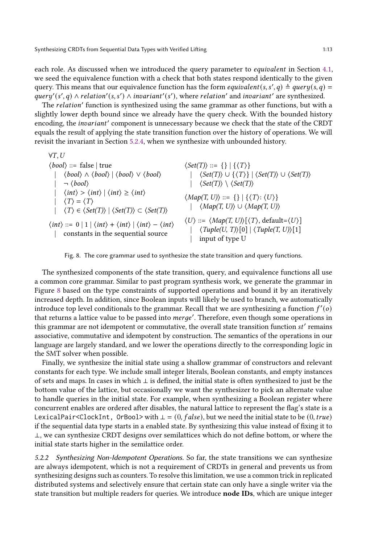each role. As discussed when we introduced the query parameter to *equivalent* in Section [4.1,](#page-6-1) we seed the equivalence function with a check that both states respond identically to the given query. This means that our equivalence function has the form equivalent(s, s', q)  $\triangleq$  query(s, q) = query'(s', q)  $\land$  relation'(s, s')  $\land$  invariant'(s'), where relation' and invariant' are synthesized.

The *relation'* function is synthesized using the same grammar as other functions, but with a slightly lower depth bound since we already have the query check. With the bounded history encoding, the *invariant'* component is unnecessary because we check that the state of the CRDT equals the result of applying the state transition function over the history of operations. We will revisit the invariant in Section [5.2.4,](#page-14-0) when we synthesize with unbounded history.

<span id="page-12-0"></span> $\forall T, U$  $\langle bool \rangle ::= false | true$  $\langle bool \rangle \wedge \langle bool \rangle | \langle bool \rangle \vee \langle bool \rangle$  $\neg \langle bool \rangle$  $\langle int \rangle > \langle int \rangle | \langle int \rangle \ge \langle int \rangle$  $\langle T \rangle = \langle T \rangle$  $\langle T \rangle \in \langle Set(T) \rangle \mid \langle Set(T) \rangle \subset \langle Set(T) \rangle$  $\langle int \rangle ::= 0 | 1 | \langle int \rangle + \langle int \rangle | \langle int \rangle - \langle int \rangle$ | constants in the sequential source  $\langle Set(T) \rangle ::= \{\} | \{ \langle T \rangle \}$  $\langle Set(T) \rangle \cup \{ \langle T \rangle \} | \langle Set(T) \rangle \cup \langle Set(T) \rangle$  $\langle Set(T) \rangle \setminus \langle Set(T) \rangle$  $\langle Map(T, U) \rangle ::= \{\} | \{ \langle T \rangle : \langle U \rangle \}$  $|\langle Map(T, U) \rangle \cup \langle Map(T, U) \rangle$  $\langle U \rangle ::= \langle Map(T, U) \rangle [\langle T \rangle, default = \langle U \rangle]$  $\langle \text{Tuple}(U, T) \rangle[0] | \langle \text{Tuple}(T, U) \rangle[1]$ input of type U

Fig. 8. The core grammar used to synthesize the state transition and query functions.

The synthesized components of the state transition, query, and equivalence functions all use a common core grammar. Similar to past program synthesis work, we generate the grammar in Figure [8](#page-12-0) based on the type constraints of supported operations and bound it by an iteratively increased depth. In addition, since Boolean inputs will likely be used to branch, we automatically introduce top level conditionals to the grammar. Recall that we are synthesizing a function  $f'(o)$ that returns a lattice value to be passed into *merge'*. Therefore, even though some operations in this grammar are not idempotent or commutative, the overall state transition function  $st'$  remains associative, commutative and idempotent by construction. The semantics of the operations in our language are largely standard, and we lower the operations directly to the corresponding logic in the SMT solver when possible.

Finally, we synthesize the initial state using a shallow grammar of constructors and relevant constants for each type. We include small integer literals, Boolean constants, and empty instances of sets and maps. In cases in which ⊥ is defined, the initial state is often synthesized to just be the bottom value of the lattice, but occasionally we want the synthesizer to pick an alternate value to handle queries in the initial state. For example, when synthesizing a Boolean register where concurrent enables are ordered after disables, the natural lattice to represent the flag's state is a LexicalPair<ClockInt, OrBool> with  $\perp = (0, false)$ , but we need the initial state to be  $(0, true)$ if the sequential data type starts in a enabled state. By synthesizing this value instead of fixing it to ⊥, we can synthesize CRDT designs over semilattices which do not define bottom, or where the initial state starts higher in the semilattice order.

5.2.2 Synthesizing Non-Idempotent Operations. So far, the state transitions we can synthesize are always idempotent, which is not a requirement of CRDTs in general and prevents us from synthesizing designs such as counters. To resolve this limitation, we use a common trick in replicated distributed systems and selectively ensure that certain state can only have a single writer via the state transition but multiple readers for queries. We introduce node IDs, which are unique integer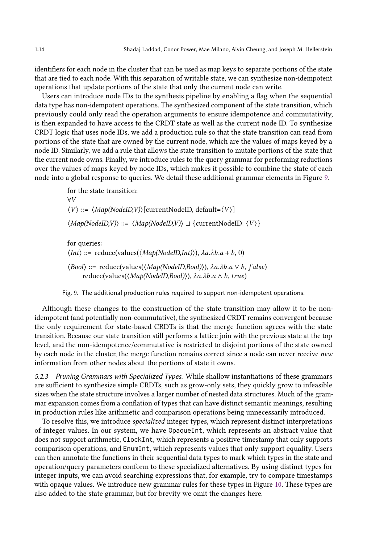identifiers for each node in the cluster that can be used as map keys to separate portions of the state that are tied to each node. With this separation of writable state, we can synthesize non-idempotent operations that update portions of the state that only the current node can write.

Users can introduce node IDs to the synthesis pipeline by enabling a flag when the sequential data type has non-idempotent operations. The synthesized component of the state transition, which previously could only read the operation arguments to ensure idempotence and commutativity, is then expanded to have access to the CRDT state as well as the current node ID. To synthesize CRDT logic that uses node IDs, we add a production rule so that the state transition can read from portions of the state that are owned by the current node, which are the values of maps keyed by a node ID. Similarly, we add a rule that allows the state transition to mutate portions of the state that the current node owns. Finally, we introduce rules to the query grammar for performing reductions over the values of maps keyed by node IDs, which makes it possible to combine the state of each node into a global response to queries. We detail these additional grammar elements in Figure [9.](#page-13-0)

```
for the state transition:
∀
\langle V \rangle ::= \langle Map(NodeID, V) \rangle[currentNodeID, default=\langle V \rangle]
\langle Map(NodeID,V) \rangle ::= \langle Map(NodeID,V) \rangle \sqcup \{currentNodeID: \langle V \rangle\}for queries:
\langle Int \rangle ::= reduce(values(\langle Map(NodeID,Int) \rangle), \lambda a.\lambda b.a + b, 0)
\langle Bool \rangle ::= reduce(values(\langle Map(NodelD,Bool) \rangle), \lambda a. \lambda b. a \vee b, false)reduce(values(\langle Map(NodeID,Bool)\rangle), \lambda a.\lambda b.a \wedge b, true)
```
Fig. 9. The additional production rules required to support non-idempotent operations.

Although these changes to the construction of the state transition may allow it to be nonidempotent (and potentially non-commutative), the synthesized CRDT remains convergent because the only requirement for state-based CRDTs is that the merge function agrees with the state transition. Because our state transition still performs a lattice join with the previous state at the top level, and the non-idempotence/commutative is restricted to disjoint portions of the state owned by each node in the cluster, the merge function remains correct since a node can never receive new information from other nodes about the portions of state it owns.

5.2.3 Pruning Grammars with Specialized Types. While shallow instantiations of these grammars are sufficient to synthesize simple CRDTs, such as grow-only sets, they quickly grow to infeasible sizes when the state structure involves a larger number of nested data structures. Much of the grammar expansion comes from a conflation of types that can have distinct semantic meanings, resulting in production rules like arithmetic and comparison operations being unnecessarily introduced.

To resolve this, we introduce specialized integer types, which represent distinct interpretations of integer values. In our system, we have OpaqueInt, which represents an abstract value that does not support arithmetic, ClockInt, which represents a positive timestamp that only supports comparison operations, and EnumInt, which represents values that only support equality. Users can then annotate the functions in their sequential data types to mark which types in the state and operation/query parameters conform to these specialized alternatives. By using distinct types for integer inputs, we can avoid searching expressions that, for example, try to compare timestamps with opaque values. We introduce new grammar rules for these types in Figure [10.](#page-14-1) These types are also added to the state grammar, but for brevity we omit the changes here.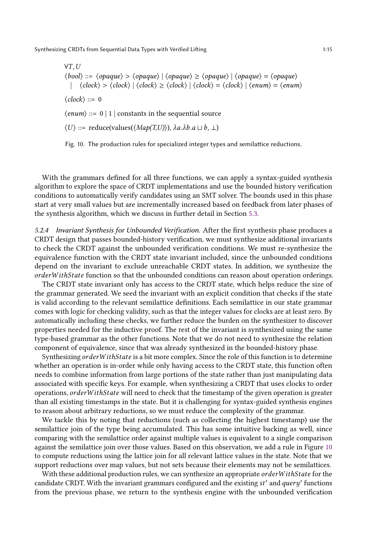<span id="page-14-1"></span> $\forall T, U$  $\langle bool \rangle ::= \langle opaque \rangle > \langle opaque \rangle | \langle opaque \rangle \geq \langle opaque \rangle | \langle opaque \rangle | \langle opaque \rangle$ |  $\langle clock \rangle > \langle clock \rangle$  |  $\langle clock \rangle \ge \langle clock \rangle$  |  $\langle clock \rangle = \langle clock \rangle$  |  $\langle enum \rangle = \langle enum \rangle$  $\langle clock \rangle ::= 0$  $\langle \textit{enum} \rangle ::= 0 \mid 1 \mid \text{constants}$  in the sequential source  $\langle U \rangle ::=$  reduce(values( $\langle Map(T,U) \rangle$ ),  $\lambda a. \lambda b. a \sqcup b, \perp$ )

Fig. 10. The production rules for specialized integer types and semilattice reductions.

With the grammars defined for all three functions, we can apply a syntax-guided synthesis algorithm to explore the space of CRDT implementations and use the bounded history verification conditions to automatically verify candidates using an SMT solver. The bounds used in this phase start at very small values but are incrementally increased based on feedback from later phases of the synthesis algorithm, which we discuss in further detail in Section [5.3.](#page-15-1)

<span id="page-14-0"></span>5.2.4 Invariant Synthesis for Unbounded Verification. After the first synthesis phase produces a CRDT design that passes bounded-history verification, we must synthesize additional invariants to check the CRDT against the unbounded verification conditions. We must re-synthesize the equivalence function with the CRDT state invariant included, since the unbounded conditions depend on the invariant to exclude unreachable CRDT states. In addition, we synthesize the orderWithState function so that the unbounded conditions can reason about operation orderings.

The CRDT state invariant only has access to the CRDT state, which helps reduce the size of the grammar generated. We seed the invariant with an explicit condition that checks if the state is valid according to the relevant semilattice definitions. Each semilattice in our state grammar comes with logic for checking validity, such as that the integer values for clocks are at least zero. By automatically including these checks, we further reduce the burden on the synthesizer to discover properties needed for the inductive proof. The rest of the invariant is synthesized using the same type-based grammar as the other functions. Note that we do not need to synthesize the relation component of equivalence, since that was already synthesized in the bounded-history phase.

Synthesizing order With State is a bit more complex. Since the role of this function is to determine whether an operation is in-order while only having access to the CRDT state, this function often needs to combine information from large portions of the state rather than just manipulating data associated with specific keys. For example, when synthesizing a CRDT that uses clocks to order operations, order WithState will need to check that the timestamp of the given operation is greater than all existing timestamps in the state. But it is challenging for syntax-guided synthesis engines to reason about arbitrary reductions, so we must reduce the complexity of the grammar.

We tackle this by noting that reductions (such as collecting the highest timestamp) use the semilattice join of the type being accumulated. This has some intuitive backing as well, since comparing with the semilattice order against multiple values is equivalent to a single comparison against the semilattice join over those values. Based on this observation, we add a rule in Figure [10](#page-14-1) to compute reductions using the lattice join for all relevant lattice values in the state. Note that we support reductions over map values, but not sets because their elements may not be semilattices.

With these additional production rules, we can synthesize an appropriate order With State for the candidate CRDT. With the invariant grammars configured and the existing st' and query' functions from the previous phase, we return to the synthesis engine with the unbounded verification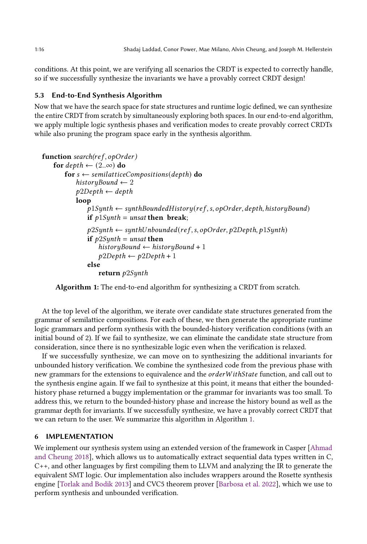conditions. At this point, we are verifying all scenarios the CRDT is expected to correctly handle, so if we successfully synthesize the invariants we have a provably correct CRDT design!

### <span id="page-15-1"></span>5.3 End-to-End Synthesis Algorithm

Now that we have the search space for state structures and runtime logic defined, we can synthesize the entire CRDT from scratch by simultaneously exploring both spaces. In our end-to-end algorithm, we apply multiple logic synthesis phases and verification modes to create provably correct CRDTs while also pruning the program space early in the synthesis algorithm.

```
function search(ref, opOrder)for depth \leftarrow (2..\infty) do
        for s \leftarrow semilatticeCompositions(depth) do
            historyBound \leftarrow 2p2Depth \leftarrow depthloop
                \overline{p}1Synth \leftarrow synthBoundedHistory(ref, s, opOrder, depth, historyBound)
                if p1Synth = unsat then break;
                p2Synth \leftarrow synthUnbounded(ref, s, opOrder, p2Depth, p1Synth)if p2Synth = unsat then
                    historyBound \leftarrow historyBound + 1p2Depth \leftarrow p2Depth+1else
                    return p2Synth
```
<span id="page-15-2"></span>Algorithm 1: The end-to-end algorithm for synthesizing a CRDT from scratch.

At the top level of the algorithm, we iterate over candidate state structures generated from the grammar of semilattice compositions. For each of these, we then generate the appropriate runtime logic grammars and perform synthesis with the bounded-history verification conditions (with an initial bound of 2). If we fail to synthesize, we can eliminate the candidate state structure from consideration, since there is no synthesizable logic even when the verification is relaxed.

If we successfully synthesize, we can move on to synthesizing the additional invariants for unbounded history verification. We combine the synthesized code from the previous phase with new grammars for the extensions to equivalence and the *order With State* function, and call out to the synthesis engine again. If we fail to synthesize at this point, it means that either the boundedhistory phase returned a buggy implementation or the grammar for invariants was too small. To address this, we return to the bounded-history phase and increase the history bound as well as the grammar depth for invariants. If we successfully synthesize, we have a provably correct CRDT that we can return to the user. We summarize this algorithm in Algorithm [1.](#page-15-2)

#### <span id="page-15-0"></span>6 IMPLEMENTATION

We implement our synthesis system using an extended version of the framework in Casper [\[Ahmad](#page-23-6) [and Cheung](#page-23-6) [2018\]](#page-23-6), which allows us to automatically extract sequential data types written in C, C++, and other languages by first compiling them to LLVM and analyzing the IR to generate the equivalent SMT logic. Our implementation also includes wrappers around the Rosette synthesis engine [\[Torlak and Bodik](#page-25-8) [2013\]](#page-25-8) and CVC5 theorem prover [\[Barbosa et al.](#page-23-5) [2022\]](#page-23-5), which we use to perform synthesis and unbounded verification.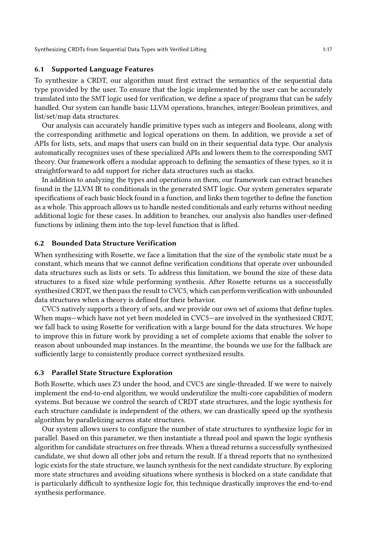## 6.1 Supported Language Features

To synthesize a CRDT, our algorithm must first extract the semantics of the sequential data type provided by the user. To ensure that the logic implemented by the user can be accurately translated into the SMT logic used for verification, we define a space of programs that can be safely handled. Our system can handle basic LLVM operations, branches, integer/Boolean primitives, and list/set/map data structures.

Our analysis can accurately handle primitive types such as integers and Booleans, along with the corresponding arithmetic and logical operations on them. In addition, we provide a set of APIs for lists, sets, and maps that users can build on in their sequential data type. Our analysis automatically recognizes uses of these specialized APIs and lowers them to the corresponding SMT theory. Our framework offers a modular approach to defining the semantics of these types, so it is straightforward to add support for richer data structures such as stacks.

In addition to analyzing the types and operations on them, our framework can extract branches found in the LLVM IR to conditionals in the generated SMT logic. Our system generates separate specifications of each basic block found in a function, and links them together to define the function as a whole. This approach allows us to handle nested conditionals and early returns without needing additional logic for these cases. In addition to branches, our analysis also handles user-defined functions by inlining them into the top-level function that is lifted.

## 6.2 Bounded Data Structure Verification

When synthesizing with Rosette, we face a limitation that the size of the symbolic state must be a constant, which means that we cannot define verification conditions that operate over unbounded data structures such as lists or sets. To address this limitation, we bound the size of these data structures to a fixed size while performing synthesis. After Rosette returns us a successfully synthesized CRDT, we then pass the result to CVC5, which can perform verification with unbounded data structures when a theory is defined for their behavior.

CVC5 natively supports a theory of sets, and we provide our own set of axioms that define tuples. When maps—which have not yet been modeled in CVC5—are involved in the synthesized CRDT, we fall back to using Rosette for verification with a large bound for the data structures. We hope to improve this in future work by providing a set of complete axioms that enable the solver to reason about unbounded map instances. In the meantime, the bounds we use for the fallback are sufficiently large to consistently produce correct synthesized results.

## 6.3 Parallel State Structure Exploration

Both Rosette, which uses Z3 under the hood, and CVC5 are single-threaded. If we were to naively implement the end-to-end algorithm, we would underutilize the multi-core capabilities of modern systems. But because we control the search of CRDT state structures, and the logic synthesis for each structure candidate is independent of the others, we can drastically speed up the synthesis algorithm by parallelizing across state structures.

Our system allows users to configure the number of state structures to synthesize logic for in parallel. Based on this parameter, we then instantiate a thread pool and spawn the logic synthesis algorithm for candidate structures on free threads. When a thread returns a successfully synthesized candidate, we shut down all other jobs and return the result. If a thread reports that no synthesized logic exists for the state structure, we launch synthesis for the next candidate structure. By exploring more state structures and avoiding situations where synthesis is blocked on a state candidate that is particularly difficult to synthesize logic for, this technique drastically improves the end-to-end synthesis performance.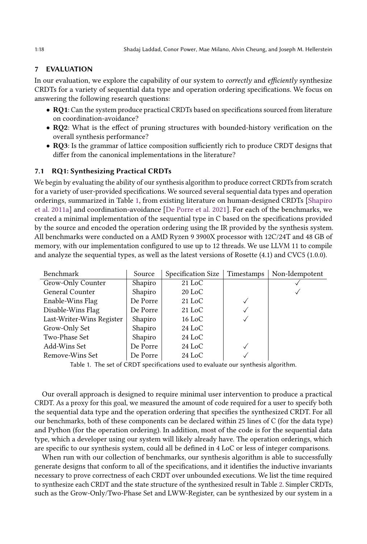### <span id="page-17-0"></span>7 EVALUATION

In our evaluation, we explore the capability of our system to *correctly* and *efficiently* synthesize CRDTs for a variety of sequential data type and operation ordering specifications. We focus on answering the following research questions:

- RQ1: Can the system produce practical CRDTs based on specifications sourced from literature on coordination-avoidance?
- RQ2: What is the effect of pruning structures with bounded-history verification on the overall synthesis performance?
- RQ3: Is the grammar of lattice composition sufficiently rich to produce CRDT designs that differ from the canonical implementations in the literature?

## 7.1 RQ1: Synthesizing Practical CRDTs

We begin by evaluating the ability of our synthesis algorithm to produce correct CRDTs from scratch for a variety of user-provided specifications. We sourced several sequential data types and operation orderings, summarized in Table [1,](#page-17-1) from existing literature on human-designed CRDTs [\[Shapiro](#page-25-5) [et al.](#page-25-5) [2011a\]](#page-25-5) and coordination-avoidance [\[De Porre et al.](#page-23-7) [2021\]](#page-23-7). For each of the benchmarks, we created a minimal implementation of the sequential type in C based on the specifications provided by the source and encoded the operation ordering using the IR provided by the synthesis system. All benchmarks were conducted on a AMD Ryzen 9 3900X processor with 12C/24T and 48 GB of memory, with our implementation configured to use up to 12 threads. We use LLVM 11 to compile and analyze the sequential types, as well as the latest versions of Rosette (4.1) and CVC5 (1.0.0).

<span id="page-17-1"></span>

| Source   | Specification Size        | Timestamps | Non-Idempotent |
|----------|---------------------------|------------|----------------|
| Shapiro  | $21$ LoC                  |            |                |
| Shapiro  | $20$ LoC                  |            |                |
| De Porre | $21$ LoC                  |            |                |
| De Porre | $21$ LoC                  | ✓          |                |
| Shapiro  | $16$ LoC                  |            |                |
| Shapiro  | $24$ LoC                  |            |                |
| Shapiro  | $24$ LoC                  |            |                |
| De Porre | $24$ LoC                  |            |                |
| De Porre | $24$ LoC                  |            |                |
|          | Last-Writer-Wins Register |            |                |

Table 1. The set of CRDT specifications used to evaluate our synthesis algorithm.

Our overall approach is designed to require minimal user intervention to produce a practical CRDT. As a proxy for this goal, we measured the amount of code required for a user to specify both the sequential data type and the operation ordering that specifies the synthesized CRDT. For all our benchmarks, both of these components can be declared within 25 lines of C (for the data type) and Python (for the operation ordering). In addition, most of the code is for the sequential data type, which a developer using our system will likely already have. The operation orderings, which are specific to our synthesis system, could all be defined in 4 LoC or less of integer comparisons.

When run with our collection of benchmarks, our synthesis algorithm is able to successfully generate designs that conform to all of the specifications, and it identifies the inductive invariants necessary to prove correctness of each CRDT over unbounded executions. We list the time required to synthesize each CRDT and the state structure of the synthesized result in Table [2.](#page-18-0) Simpler CRDTs, such as the Grow-Only/Two-Phase Set and LWW-Register, can be synthesized by our system in a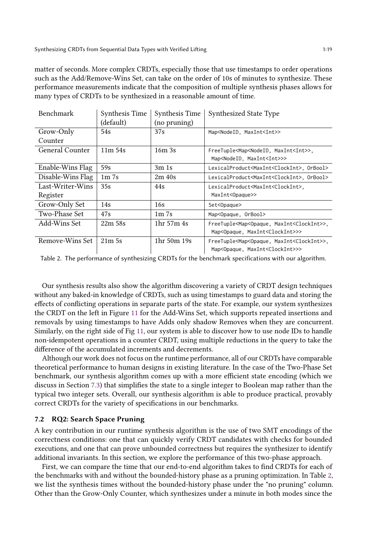matter of seconds. More complex CRDTs, especially those that use timestamps to order operations such as the Add/Remove-Wins Set, can take on the order of 10s of minutes to synthesize. These performance measurements indicate that the composition of multiple synthesis phases allows for many types of CRDTs to be synthesized in a reasonable amount of time.

<span id="page-18-0"></span>

| <b>Benchmark</b>  | Synthesis Time | Synthesis Time                | Synthesized State Type                                         |
|-------------------|----------------|-------------------------------|----------------------------------------------------------------|
|                   | (default)      | (no pruning)                  |                                                                |
| Grow-Only         | 54s            | 37s                           | Map <nodeid, maxint<int="">&gt;</nodeid,>                      |
| Counter           |                |                               |                                                                |
| General Counter   | $11m$ 54s      | 16m 3s                        | FreeTuple <map<nodeid, maxint<int="">&gt;,</map<nodeid,>       |
|                   |                |                               | Map <nodeid, maxint<int="">&gt;&gt;</nodeid,>                  |
| Enable-Wins Flag  | 59s            | 3m 1s                         | LexicalProduct <maxint<clockint>, OrBool&gt;</maxint<clockint> |
| Disable-Wins Flag | $1m$ 7s        | 2m/40s                        | LexicalProduct <maxint<clockint>, OrBool&gt;</maxint<clockint> |
| Last-Writer-Wins  | 35s            | 44s                           | LexicalProduct <maxint<clockint>,</maxint<clockint>            |
| Register          |                |                               | MaxInt <opaque>&gt;</opaque>                                   |
| Grow-Only Set     | 14s            | 16s                           | Set <opaque></opaque>                                          |
| Two-Phase Set     | 47s            | 1 <sub>m</sub> 7 <sub>s</sub> | Map <opaque, orbool=""></opaque,>                              |
| Add-Wins Set      | 22m 58s        | 1hr 57m 4s                    | FreeTuple <map<opaque, maxint<clockint="">&gt;,</map<opaque,>  |
|                   |                |                               | Map <opaque, maxint<clockint="">&gt;&gt;</opaque,>             |
| Remove-Wins Set   | 21m.5s         | 1hr 50m 19s                   | FreeTuple <map<opaque, maxint<clockint="">&gt;,</map<opaque,>  |
|                   |                |                               | Map <opaque, maxint<clockint="">&gt;&gt;</opaque,>             |

Table 2. The performance of synthesizing CRDTs for the benchmark specifications with our algorithm.

Our synthesis results also show the algorithm discovering a variety of CRDT design techniques without any baked-in knowledge of CRDTs, such as using timestamps to guard data and storing the effects of conflicting operations in separate parts of the state. For example, our system synthesizes the CRDT on the left in Figure [11](#page-19-0) for the Add-Wins Set, which supports repeated insertions and removals by using timestamps to have Adds only shadow Removes when they are concurrent. Similarly, on the right side of Fig [11,](#page-19-0) our system is able to discover how to use node IDs to handle non-idempotent operations in a counter CRDT, using multiple reductions in the query to take the difference of the accumulated increments and decrements.

Although our work does not focus on the runtime performance, all of our CRDTs have comparable theoretical performance to human designs in existing literature. In the case of the Two-Phase Set benchmark, our synthesis algorithm comes up with a more efficient state encoding (which we discuss in Section [7.3\)](#page-19-1) that simplifies the state to a single integer to Boolean map rather than the typical two integer sets. Overall, our synthesis algorithm is able to produce practical, provably correct CRDTs for the variety of specifications in our benchmarks.

## 7.2 RQ2: Search Space Pruning

A key contribution in our runtime synthesis algorithm is the use of two SMT encodings of the correctness conditions: one that can quickly verify CRDT candidates with checks for bounded executions, and one that can prove unbounded correctness but requires the synthesizer to identify additional invariants. In this section, we explore the performance of this two-phase approach.

First, we can compare the time that our end-to-end algorithm takes to find CRDTs for each of the benchmarks with and without the bounded-history phase as a pruning optimization. In Table [2,](#page-18-0) we list the synthesis times without the bounded-history phase under the "no pruning" column. Other than the Grow-Only Counter, which synthesizes under a minute in both modes since the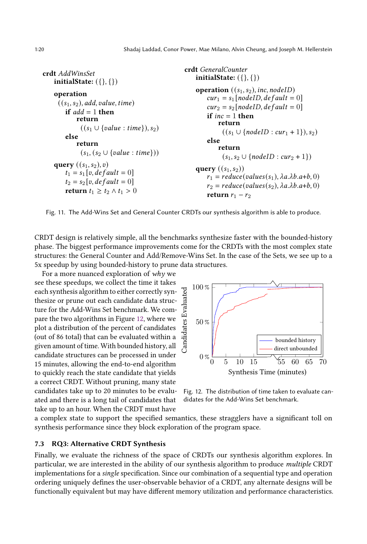<span id="page-19-0"></span>crdt AddWinsSet initialState:  $({}, {{})$ operation  $((s_1, s_2), add, value, time)$ if  $add = 1$  then return  $((s_1 \cup \{value : time\}), s_2)$ else return  $(s_1, (s_2 \cup \{value : time\}))$ **query**  $((s_1, s_2), v)$  $t_1 = s_1 [v, default = 0]$  $t_2 = s_2[v, default = 0]$ return  $t_1 \geq t_2 \wedge t_1 > 0$ 

```
crdt GeneralCounter
    initialState: ({}, {})operation ((s_1, s_2), inc, nodeID)cur_1 = s_1 [nodeID, default = 0]cur_2 = s_2[nodeID, default = 0]
        if inc = 1 then
            return
              ((s_1 \cup \{nodeID : cur_1 + 1\}), s_2)else
            return
              (s_1, s_2 \cup \{nodeID : cur_2 + 1\})query ((s_1, s_2))r_1 = reduce(value(s_1), \lambda a. \lambda b. a+b, 0)r_2 = reduce(value(s_2), \lambda a. \lambda b. a+b, 0)return r_1 - r_2
```
Fig. 11. The Add-Wins Set and General Counter CRDTs our synthesis algorithm is able to produce.

CRDT design is relatively simple, all the benchmarks synthesize faster with the bounded-history phase. The biggest performance improvements come for the CRDTs with the most complex state structures: the General Counter and Add/Remove-Wins Set. In the case of the Sets, we see up to a 5x speedup by using bounded-history to prune data structures.

For a more nuanced exploration of  $whv$  we see these speedups, we collect the time it takes each synthesis algorithm to either correctly synthesize or prune out each candidate data structure for the Add-Wins Set benchmark. We compare the two algorithms in Figure [12,](#page-19-2) where we plot a distribution of the percent of candidates (out of 86 total) that can be evaluated within a given amount of time. With bounded history, all candidate structures can be processed in under 15 minutes, allowing the end-to-end algorithm to quickly reach the state candidate that yields a correct CRDT. Without pruning, many state candidates take up to 20 minutes to be evaluated and there is a long tail of candidates that take up to an hour. When the CRDT must have

<span id="page-19-2"></span>

Fig. 12. The distribution of time taken to evaluate candidates for the Add-Wins Set benchmark.

a complex state to support the specified semantics, these stragglers have a significant toll on synthesis performance since they block exploration of the program space.

#### <span id="page-19-1"></span>7.3 RQ3: Alternative CRDT Synthesis

Finally, we evaluate the richness of the space of CRDTs our synthesis algorithm explores. In particular, we are interested in the ability of our synthesis algorithm to produce multiple CRDT implementations for a single specification. Since our combination of a sequential type and operation ordering uniquely defines the user-observable behavior of a CRDT, any alternate designs will be functionally equivalent but may have different memory utilization and performance characteristics.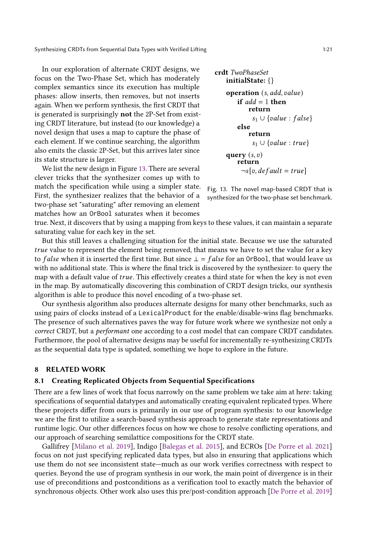In our exploration of alternate CRDT designs, we focus on the Two-Phase Set, which has moderately complex semantics since its execution has multiple phases: allow inserts, then removes, but not inserts again. When we perform synthesis, the first CRDT that is generated is surprisingly not the 2P-Set from existing CRDT literature, but instead (to our knowledge) a novel design that uses a map to capture the phase of each element. If we continue searching, the algorithm also emits the classic 2P-Set, but this arrives later since its state structure is larger.

We list the new design in Figure [13.](#page-20-0) There are several clever tricks that the synthesizer comes up with to match the specification while using a simpler state. First, the synthesizer realizes that the behavior of a two-phase set "saturating" after removing an element matches how an OrBool saturates when it becomes

```
crdt TwoPhaseSet
   initialState: {}
    operation (s, add, value)if add = 1 then
           return
             s_1 \cup \{value : false\}else
           return
             s_1 \cup \{ value : true \}query (s, v)return
         \lnot s[v, default = true]
```
Fig. 13. The novel map-based CRDT that is synthesized for the two-phase set benchmark.

true. Next, it discovers that by using a mapping from keys to these values, it can maintain a separate saturating value for each key in the set.

But this still leaves a challenging situation for the initial state. Because we use the saturated true value to represent the element being removed, that means we have to set the value for a key to *false* when it is inserted the first time. But since  $\bot = false$  for an OrBool, that would leave us with no additional state. This is where the final trick is discovered by the synthesizer: to query the map with a default value of  $true$ . This effectively creates a third state for when the key is not even in the map. By automatically discovering this combination of CRDT design tricks, our synthesis algorithm is able to produce this novel encoding of a two-phase set.

Our synthesis algorithm also produces alternate designs for many other benchmarks, such as using pairs of clocks instead of a LexicalProduct for the enable/disable-wins flag benchmarks. The presence of such alternatives paves the way for future work where we synthesize not only a correct CRDT, but a *performant* one according to a cost model that can compare CRDT candidates. Furthermore, the pool of alternative designs may be useful for incrementally re-synthesizing CRDTs as the sequential data type is updated, something we hope to explore in the future.

#### 8 RELATED WORK

#### 8.1 Creating Replicated Objects from Sequential Specifications

There are a few lines of work that focus narrowly on the same problem we take aim at here: taking specifications of sequential datatypes and automatically creating equivalent replicated types. Where these projects differ from ours is primarily in our use of program synthesis: to our knowledge we are the first to utilize a search-based synthesis approach to generate state representations and runtime logic. Our other differences focus on how we chose to resolve conflicting operations, and our approach of searching semilattice compositions for the CRDT state.

Gallifrey [\[Milano et al.](#page-25-9) [2019\]](#page-25-9), Indigo [\[Balegas et al.](#page-23-8) [2015\]](#page-23-8), and ECROs [\[De Porre et al.](#page-23-7) [2021\]](#page-23-7) focus on not just specifying replicated data types, but also in ensuring that applications which use them do not see inconsistent state—much as our work verifies correctness with respect to queries. Beyond the use of program synthesis in our work, the main point of divergence is in their use of preconditions and postconditions as a verification tool to exactly match the behavior of synchronous objects. Other work also uses this pre/post-condition approach [\[De Porre et al.](#page-23-9) [2019\]](#page-23-9)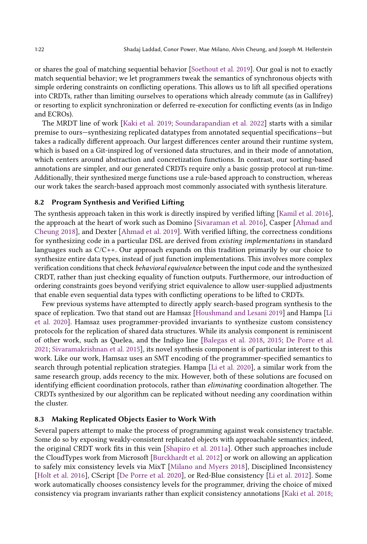or shares the goal of matching sequential behavior [\[Soethout et al.](#page-25-10) [2019\]](#page-25-10). Our goal is not to exactly match sequential behavior; we let programmers tweak the semantics of synchronous objects with simple ordering constraints on conflicting operations. This allows us to lift all specified operations into CRDTs, rather than limiting ourselves to operations which already commute (as in Gallifrey) or resorting to explicit synchronization or deferred re-execution for conflicting events (as in Indigo and ECROs).

The MRDT line of work [\[Kaki et al.](#page-24-13) [2019;](#page-24-13) [Soundarapandian et al.](#page-25-11) [2022\]](#page-25-11) starts with a similar premise to ours—synthesizing replicated datatypes from annotated sequential specifications—but takes a radically different approach. Our largest differences center around their runtime system, which is based on a Git-inspired log of versioned data structures, and in their mode of annotation, which centers around abstraction and concretization functions. In contrast, our sorting-based annotations are simpler, and our generated CRDTs require only a basic gossip protocol at run-time. Additionally, their synthesized merge functions use a rule-based approach to construction, whereas our work takes the search-based approach most commonly associated with synthesis literature.

#### 8.2 Program Synthesis and Verified Lifting

The synthesis approach taken in this work is directly inspired by verified lifting [\[Kamil et al.](#page-24-9) [2016\]](#page-24-9), the approach at the heart of work such as Domino [\[Sivaraman et al.](#page-25-12) [2016\]](#page-25-12), Casper [\[Ahmad and](#page-23-6) [Cheung](#page-23-6) [2018\]](#page-23-6), and Dexter [\[Ahmad et al.](#page-23-10) [2019\]](#page-23-10). With verified lifting, the correctness conditions for synthesizing code in a particular DSL are derived from existing implementations in standard languages such as  $C/C++$ . Our approach expands on this tradition primarily by our choice to synthesize entire data types, instead of just function implementations. This involves more complex verification conditions that check behavioral equivalence between the input code and the synthesized CRDT, rather than just checking equality of function outputs. Furthermore, our introduction of ordering constraints goes beyond verifying strict equivalence to allow user-supplied adjustments that enable even sequential data types with conflicting operations to be lifted to CRDTs.

Few previous systems have attempted to directly apply search-based program synthesis to the space of replication. Two that stand out are Hamsaz [\[Houshmand and Lesani](#page-24-14) [2019\]](#page-24-14) and Hampa [\[Li](#page-25-13) [et al.](#page-25-13) [2020\]](#page-25-13). Hamsaz uses programmer-provided invariants to synthesize custom consistency protocols for the replication of shared data structures. While its analysis component is reminiscent of other work, such as Quelea, and the Indigo line [\[Balegas et al.](#page-23-11) [2018,](#page-23-11) [2015;](#page-23-8) [De Porre et al.](#page-23-7) [2021;](#page-23-7) [Sivaramakrishnan et al.](#page-25-14) [2015\]](#page-25-14), its novel synthesis component is of particular interest to this work. Like our work, Hamsaz uses an SMT encoding of the programmer-specified semantics to search through potential replication strategies. Hampa [\[Li et al.](#page-25-13) [2020\]](#page-25-13), a similar work from the same research group, adds recency to the mix. However, both of these solutions are focused on identifying efficient coordination protocols, rather than eliminating coordination altogether. The CRDTs synthesized by our algorithm can be replicated without needing any coordination within the cluster.

#### 8.3 Making Replicated Objects Easier to Work With

Several papers attempt to make the process of programming against weak consistency tractable. Some do so by exposing weakly-consistent replicated objects with approachable semantics; indeed, the original CRDT work fits in this vein [\[Shapiro et al.](#page-25-5) [2011a\]](#page-25-5). Other such approaches include the CloudTypes work from Microsoft [\[Burckhardt et al.](#page-23-12) [2012\]](#page-23-12) or work on allowing an application to safely mix consistency levels via MixT [\[Milano and Myers](#page-25-15) [2018\]](#page-25-15), Disciplined Inconsistency [\[Holt et al.](#page-24-15) [2016\]](#page-24-15), CScript [\[De Porre et al.](#page-23-13) [2020\]](#page-23-13), or Red-Blue consistency [\[Li et al.](#page-24-16) [2012\]](#page-24-16). Some work automatically chooses consistency levels for the programmer, driving the choice of mixed consistency via program invariants rather than explicit consistency annotations [\[Kaki et al.](#page-24-17) [2018;](#page-24-17)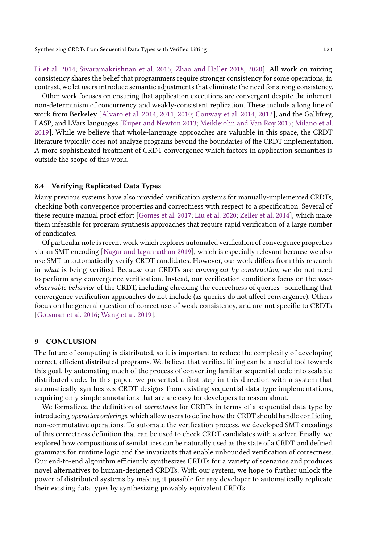[Li et al.](#page-24-18) [2014;](#page-24-18) [Sivaramakrishnan et al.](#page-25-14) [2015;](#page-25-14) [Zhao and Haller](#page-26-0) [2018,](#page-26-0) [2020\]](#page-26-1). All work on mixing consistency shares the belief that programmers require stronger consistency for some operations; in contrast, we let users introduce semantic adjustments that eliminate the need for strong consistency.

Other work focuses on ensuring that application executions are convergent despite the inherent non-determinism of concurrency and weakly-consistent replication. These include a long line of work from Berkeley [\[Alvaro et al.](#page-23-14) [2014,](#page-23-14) [2011,](#page-23-15) [2010;](#page-23-16) [Conway et al.](#page-23-17) [2014,](#page-23-17) [2012\]](#page-23-2), and the Gallifrey, LASP, and LVars languages [\[Kuper and Newton](#page-24-19) [2013;](#page-24-19) [Meiklejohn and Van Roy](#page-25-16) [2015;](#page-25-16) [Milano et al.](#page-25-9) [2019\]](#page-25-9). While we believe that whole-language approaches are valuable in this space, the CRDT literature typically does not analyze programs beyond the boundaries of the CRDT implementation. A more sophisticated treatment of CRDT convergence which factors in application semantics is outside the scope of this work.

#### 8.4 Verifying Replicated Data Types

Many previous systems have also provided verification systems for manually-implemented CRDTs, checking both convergence properties and correctness with respect to a specification. Several of these require manual proof effort [\[Gomes et al.](#page-24-8) [2017;](#page-24-8) [Liu et al.](#page-25-17) [2020;](#page-25-17) [Zeller et al.](#page-25-18) [2014\]](#page-25-18), which make them infeasible for program synthesis approaches that require rapid verification of a large number of candidates.

Of particular note is recent work which explores automated verification of convergence properties via an SMT encoding [\[Nagar and Jagannathan](#page-25-6) [2019\]](#page-25-6), which is especially relevant because we also use SMT to automatically verify CRDT candidates. However, our work differs from this research in what is being verified. Because our CRDTs are convergent by construction, we do not need to perform any convergence verification. Instead, our verification conditions focus on the userobservable behavior of the CRDT, including checking the correctness of queries—something that convergence verification approaches do not include (as queries do not affect convergence). Others focus on the general question of correct use of weak consistency, and are not specific to CRDTs [\[Gotsman et al.](#page-24-20) [2016;](#page-24-20) [Wang et al.](#page-25-19) [2019\]](#page-25-19).

### 9 CONCLUSION

The future of computing is distributed, so it is important to reduce the complexity of developing correct, efficient distributed programs. We believe that verified lifting can be a useful tool towards this goal, by automating much of the process of converting familiar sequential code into scalable distributed code. In this paper, we presented a first step in this direction with a system that automatically synthesizes CRDT designs from existing sequential data type implementations, requiring only simple annotations that are are easy for developers to reason about.

We formalized the definition of correctness for CRDTs in terms of a sequential data type by introducing operation orderings, which allow users to define how the CRDT should handle conflicting non-commutative operations. To automate the verification process, we developed SMT encodings of this correctness definition that can be used to check CRDT candidates with a solver. Finally, we explored how compositions of semilattices can be naturally used as the state of a CRDT, and defined grammars for runtime logic and the invariants that enable unbounded verification of correctness. Our end-to-end algorithm efficiently synthesizes CRDTs for a variety of scenarios and produces novel alternatives to human-designed CRDTs. With our system, we hope to further unlock the power of distributed systems by making it possible for any developer to automatically replicate their existing data types by synthesizing provably equivalent CRDTs.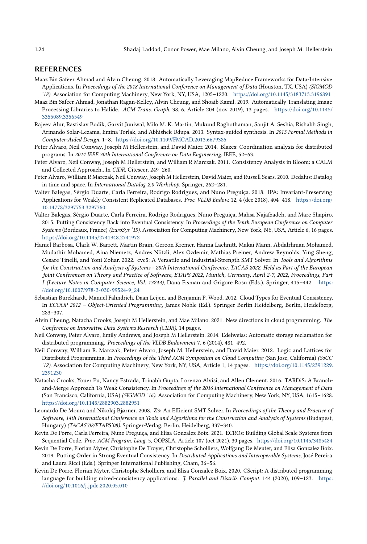#### REFERENCES

- <span id="page-23-6"></span>Maaz Bin Safeer Ahmad and Alvin Cheung. 2018. Automatically Leveraging MapReduce Frameworks for Data-Intensive Applications. In Proceedings of the 2018 International Conference on Management of Data (Houston, TX, USA) (SIGMOD '18). Association for Computing Machinery, New York, NY, USA, 1205–1220. <https://doi.org/10.1145/3183713.3196891>
- <span id="page-23-10"></span>Maaz Bin Safeer Ahmad, Jonathan Ragan-Kelley, Alvin Cheung, and Shoaib Kamil. 2019. Automatically Translating Image Processing Libraries to Halide. ACM Trans. Graph. 38, 6, Article 204 (nov 2019), 13 pages. [https://doi.org/10.1145/](https://doi.org/10.1145/3355089.3356549) [3355089.3356549](https://doi.org/10.1145/3355089.3356549)
- <span id="page-23-3"></span>Rajeev Alur, Rastislav Bodik, Garvit Juniwal, Milo M. K. Martin, Mukund Raghothaman, Sanjit A. Seshia, Rishabh Singh, Armando Solar-Lezama, Emina Torlak, and Abhishek Udupa. 2013. Syntax-guided synthesis. In 2013 Formal Methods in Computer-Aided Design. 1–8. <https://doi.org/10.1109/FMCAD.2013.6679385>
- <span id="page-23-14"></span>Peter Alvaro, Neil Conway, Joseph M Hellerstein, and David Maier. 2014. Blazes: Coordination analysis for distributed programs. In 2014 IEEE 30th International Conference on Data Engineering. IEEE, 52–63.
- <span id="page-23-15"></span>Peter Alvaro, Neil Conway, Joseph M Hellerstein, and William R Marczak. 2011. Consistency Analysis in Bloom: a CALM and Collected Approach.. In CIDR. Citeseer, 249–260.
- <span id="page-23-16"></span>Peter Alvaro, William R Marczak, Neil Conway, Joseph M Hellerstein, David Maier, and Russell Sears. 2010. Dedalus: Datalog in time and space. In International Datalog 2.0 Workshop. Springer, 262-281.
- <span id="page-23-11"></span>Valter Balegas, Sérgio Duarte, Carla Ferreira, Rodrigo Rodrigues, and Nuno Preguiça. 2018. IPA: Invariant-Preserving Applications for Weakly Consistent Replicated Databases. Proc. VLDB Endow. 12, 4 (dec 2018), 404–418. [https://doi.org/](https://doi.org/10.14778/3297753.3297760) [10.14778/3297753.3297760](https://doi.org/10.14778/3297753.3297760)
- <span id="page-23-8"></span>Valter Balegas, Sérgio Duarte, Carla Ferreira, Rodrigo Rodrigues, Nuno Preguiça, Mahsa Najafzadeh, and Marc Shapiro. 2015. Putting Consistency Back into Eventual Consistency. In Proceedings of the Tenth European Conference on Computer Systems (Bordeaux, France) (EuroSys '15). Association for Computing Machinery, New York, NY, USA, Article 6, 16 pages. <https://doi.org/10.1145/2741948.2741972>
- <span id="page-23-5"></span>Haniel Barbosa, Clark W. Barrett, Martin Brain, Gereon Kremer, Hanna Lachnitt, Makai Mann, Abdalrhman Mohamed, Mudathir Mohamed, Aina Niemetz, Andres Nötzli, Alex Ozdemir, Mathias Preiner, Andrew Reynolds, Ying Sheng, Cesare Tinelli, and Yoni Zohar. 2022. cvc5: A Versatile and Industrial-Strength SMT Solver. In Tools and Algorithms for the Construction and Analysis of Systems - 28th International Conference, TACAS 2022, Held as Part of the European Joint Conferences on Theory and Practice of Software, ETAPS 2022, Munich, Germany, April 2-7, 2022, Proceedings, Part I (Lecture Notes in Computer Science, Vol. 13243), Dana Fisman and Grigore Rosu (Eds.). Springer, 415–442. [https:](https://doi.org/10.1007/978-3-030-99524-9_24) [//doi.org/10.1007/978-3-030-99524-9\\_24](https://doi.org/10.1007/978-3-030-99524-9_24)
- <span id="page-23-12"></span>Sebastian Burckhardt, Manuel Fähndrich, Daan Leijen, and Benjamin P. Wood. 2012. Cloud Types for Eventual Consistency. In ECOOP 2012 – Object-Oriented Programming, James Noble (Ed.). Springer Berlin Heidelberg, Berlin, Heidelberg, 283–307.
- <span id="page-23-1"></span>Alvin Cheung, Natacha Crooks, Joseph M Hellerstein, and Mae Milano. 2021. New directions in cloud programming. The Conference on Innovative Data Systems Research (CIDR), 14 pages.
- <span id="page-23-17"></span>Neil Conway, Peter Alvaro, Emily Andrews, and Joseph M Hellerstein. 2014. Edelweiss: Automatic storage reclamation for distributed programming. Proceedings of the VLDB Endowment 7, 6 (2014), 481–492.
- <span id="page-23-2"></span>Neil Conway, William R. Marczak, Peter Alvaro, Joseph M. Hellerstein, and David Maier. 2012. Logic and Lattices for Distributed Programming. In Proceedings of the Third ACM Symposium on Cloud Computing (San Jose, California) (SoCC '12). Association for Computing Machinery, New York, NY, USA, Article 1, 14 pages. [https://doi.org/10.1145/2391229.](https://doi.org/10.1145/2391229.2391230) [2391230](https://doi.org/10.1145/2391229.2391230)
- <span id="page-23-0"></span>Natacha Crooks, Youer Pu, Nancy Estrada, Trinabh Gupta, Lorenzo Alvisi, and Allen Clement. 2016. TARDiS: A Branchand-Merge Approach To Weak Consistency. In Proceedings of the 2016 International Conference on Management of Data (San Francisco, California, USA) (SIGMOD '16). Association for Computing Machinery, New York, NY, USA, 1615–1628. <https://doi.org/10.1145/2882903.2882951>
- <span id="page-23-4"></span>Leonardo De Moura and Nikolaj Bjørner. 2008. Z3: An Efficient SMT Solver. In Proceedings of the Theory and Practice of Software, 14th International Conference on Tools and Algorithms for the Construction and Analysis of Systems (Budapest, Hungary) (TACAS'08/ETAPS'08). Springer-Verlag, Berlin, Heidelberg, 337–340.
- <span id="page-23-7"></span>Kevin De Porre, Carla Ferreira, Nuno Preguiça, and Elisa Gonzalez Boix. 2021. ECROs: Building Global Scale Systems from Sequential Code. Proc. ACM Program. Lang. 5, OOPSLA, Article 107 (oct 2021), 30 pages. <https://doi.org/10.1145/3485484>
- <span id="page-23-9"></span>Kevin De Porre, Florian Myter, Christophe De Troyer, Christophe Scholliers, Wolfgang De Meuter, and Elisa Gonzalez Boix. 2019. Putting Order in Strong Eventual Consistency. In Distributed Applications and Interoperable Systems, José Pereira and Laura Ricci (Eds.). Springer International Publishing, Cham, 36–56.
- <span id="page-23-13"></span>Kevin De Porre, Florian Myter, Christophe Scholliers, and Elisa Gonzalez Boix. 2020. CScript: A distributed programming language for building mixed-consistency applications. J. Parallel and Distrib. Comput. 144 (2020), 109-123. [https:](https://doi.org/10.1016/j.jpdc.2020.05.010) [//doi.org/10.1016/j.jpdc.2020.05.010](https://doi.org/10.1016/j.jpdc.2020.05.010)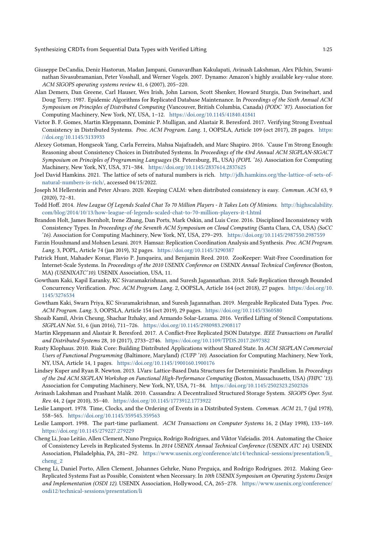- <span id="page-24-4"></span>Giuseppe DeCandia, Deniz Hastorun, Madan Jampani, Gunavardhan Kakulapati, Avinash Lakshman, Alex Pilchin, Swaminathan Sivasubramanian, Peter Vosshall, and Werner Vogels. 2007. Dynamo: Amazon's highly available key-value store. ACM SIGOPS operating systems review 41, 6 (2007), 205–220.
- <span id="page-24-10"></span>Alan Demers, Dan Greene, Carl Hauser, Wes Irish, John Larson, Scott Shenker, Howard Sturgis, Dan Swinehart, and Doug Terry. 1987. Epidemic Algorithms for Replicated Database Maintenance. In Proceedings of the Sixth Annual ACM Symposium on Principles of Distributed Computing (Vancouver, British Columbia, Canada) (PODC '87). Association for Computing Machinery, New York, NY, USA, 1–12. <https://doi.org/10.1145/41840.41841>
- <span id="page-24-8"></span>Victor B. F. Gomes, Martin Kleppmann, Dominic P. Mulligan, and Alastair R. Beresford. 2017. Verifying Strong Eventual Consistency in Distributed Systems. Proc. ACM Program. Lang. 1, OOPSLA, Article 109 (oct 2017), 28 pages. [https:](https://doi.org/10.1145/3133933) [//doi.org/10.1145/3133933](https://doi.org/10.1145/3133933)
- <span id="page-24-20"></span>Alexey Gotsman, Hongseok Yang, Carla Ferreira, Mahsa Najafzadeh, and Marc Shapiro. 2016. 'Cause I'm Strong Enough: Reasoning about Consistency Choices in Distributed Systems. In Proceedings of the 43rd Annual ACM SIGPLAN-SIGACT Symposium on Principles of Programming Languages (St. Petersburg, FL, USA) (POPL '16). Association for Computing Machinery, New York, NY, USA, 371–384. <https://doi.org/10.1145/2837614.2837625>
- <span id="page-24-12"></span>Joel David Hamkins. 2021. The lattice of sets of natural numbers is rich. [http://jdh.hamkins.org/the-lattice-of-sets-of](http://jdh.hamkins.org/the-lattice-of-sets-of-natural-numbers-is-rich/)[natural-numbers-is-rich/,](http://jdh.hamkins.org/the-lattice-of-sets-of-natural-numbers-is-rich/) accessed 04/15/2022.
- <span id="page-24-2"></span>Joseph M Hellerstein and Peter Alvaro. 2020. Keeping CALM: when distributed consistency is easy. Commun. ACM 63, 9 (2020), 72–81.
- <span id="page-24-6"></span>Todd Hoff. 2014. How League Of Legends Scaled Chat To 70 Million Players - It Takes Lots Of Minions. [http://highscalability.](http://highscalability.com/blog/2014/10/13/how-league-of-legends-scaled-chat-to-70-million-players-it-t.html) [com/blog/2014/10/13/how-league-of-legends-scaled-chat-to-70-million-players-it-t.html](http://highscalability.com/blog/2014/10/13/how-league-of-legends-scaled-chat-to-70-million-players-it-t.html)
- <span id="page-24-15"></span>Brandon Holt, James Bornholt, Irene Zhang, Dan Ports, Mark Oskin, and Luis Ceze. 2016. Disciplined Inconsistency with Consistency Types. In Proceedings of the Seventh ACM Symposium on Cloud Computing (Santa Clara, CA, USA) (SoCC '16). Association for Computing Machinery, New York, NY, USA, 279–293. <https://doi.org/10.1145/2987550.2987559>
- <span id="page-24-14"></span>Farzin Houshmand and Mohsen Lesani. 2019. Hamsaz: Replication Coordination Analysis and Synthesis. Proc. ACM Program. Lang. 3, POPL, Article 74 (jan 2019), 32 pages. <https://doi.org/10.1145/3290387>
- <span id="page-24-1"></span>Patrick Hunt, Mahadev Konar, Flavio P. Junqueira, and Benjamin Reed. 2010. ZooKeeper: Wait-Free Coordination for Internet-Scale Systems. In Proceedings of the 2010 USENIX Conference on USENIX Annual Technical Conference (Boston, MA) (USENIXATC'10). USENIX Association, USA, 11.
- <span id="page-24-17"></span>Gowtham Kaki, Kapil Earanky, KC Sivaramakrishnan, and Suresh Jagannathan. 2018. Safe Replication through Bounded Concurrency Verification. Proc. ACM Program. Lang. 2, OOPSLA, Article 164 (oct 2018), 27 pages. [https://doi.org/10.](https://doi.org/10.1145/3276534) [1145/3276534](https://doi.org/10.1145/3276534)
- <span id="page-24-13"></span>Gowtham Kaki, Swarn Priya, KC Sivaramakrishnan, and Suresh Jagannathan. 2019. Mergeable Replicated Data Types. Proc. ACM Program. Lang. 3, OOPSLA, Article 154 (oct 2019), 29 pages. <https://doi.org/10.1145/3360580>
- <span id="page-24-9"></span>Shoaib Kamil, Alvin Cheung, Shachar Itzhaky, and Armando Solar-Lezama. 2016. Verified Lifting of Stencil Computations. SIGPLAN Not. 51, 6 (jun 2016), 711–726. <https://doi.org/10.1145/2980983.2908117>
- <span id="page-24-5"></span>Martin Kleppmann and Alastair R. Beresford. 2017. A Conflict-Free Replicated JSON Datatype. IEEE Transactions on Parallel and Distributed Systems 28, 10 (2017), 2733–2746. <https://doi.org/10.1109/TPDS.2017.2697382>
- <span id="page-24-7"></span>Rusty Klophaus. 2010. Riak Core: Building Distributed Applications without Shared State. In ACM SIGPLAN Commercial Users of Functional Programming (Baltimore, Maryland) (CUFP '10). Association for Computing Machinery, New York, NY, USA, Article 14, 1 pages. <https://doi.org/10.1145/1900160.1900176>
- <span id="page-24-19"></span>Lindsey Kuper and Ryan R. Newton. 2013. LVars: Lattice-Based Data Structures for Deterministic Parallelism. In Proceedings of the 2nd ACM SIGPLAN Workshop on Functional High-Performance Computing (Boston, Massachusetts, USA) (FHPC '13). Association for Computing Machinery, New York, NY, USA, 71–84. <https://doi.org/10.1145/2502323.2502326>
- <span id="page-24-3"></span>Avinash Lakshman and Prashant Malik. 2010. Cassandra: A Decentralized Structured Storage System. SIGOPS Oper. Syst. Rev. 44, 2 (apr 2010), 35–40. <https://doi.org/10.1145/1773912.1773922>
- <span id="page-24-11"></span>Leslie Lamport. 1978. Time, Clocks, and the Ordering of Events in a Distributed System. Commun. ACM 21, 7 (jul 1978), 558–565. <https://doi.org/10.1145/359545.359563>
- <span id="page-24-0"></span>Leslie Lamport. 1998. The part-time parliament. ACM Transactions on Computer Systems 16, 2 (May 1998), 133–169. <https://doi.org/10.1145/279227.279229>
- <span id="page-24-18"></span>Cheng Li, Joao Leitão, Allen Clement, Nuno Preguiça, Rodrigo Rodrigues, and Viktor Vafeiadis. 2014. Automating the Choice of Consistency Levels in Replicated Systems. In 2014 USENIX Annual Technical Conference (USENIX ATC 14). USENIX Association, Philadelphia, PA, 281–292. [https://www.usenix.org/conference/atc14/technical-sessions/presentation/li\\_](https://www.usenix.org/conference/atc14/technical-sessions/presentation/li_cheng_2) [cheng\\_2](https://www.usenix.org/conference/atc14/technical-sessions/presentation/li_cheng_2)
- <span id="page-24-16"></span>Cheng Li, Daniel Porto, Allen Clement, Johannes Gehrke, Nuno Preguiça, and Rodrigo Rodrigues. 2012. Making Geo-Replicated Systems Fast as Possible, Consistent when Necessary. In 10th USENIX Symposium on Operating Systems Design and Implementation (OSDI 12). USENIX Association, Hollywood, CA, 265–278. [https://www.usenix.org/conference/](https://www.usenix.org/conference/osdi12/technical-sessions/presentation/li) [osdi12/technical-sessions/presentation/li](https://www.usenix.org/conference/osdi12/technical-sessions/presentation/li)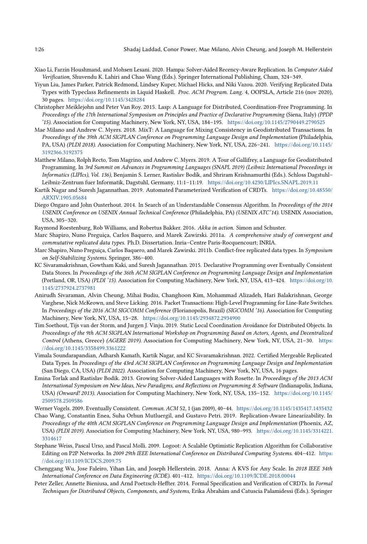- <span id="page-25-13"></span>Xiao Li, Farzin Houshmand, and Mohsen Lesani. 2020. Hampa: Solver-Aided Recency-Aware Replication. In Computer Aided Verification, Shuvendu K. Lahiri and Chao Wang (Eds.). Springer International Publishing, Cham, 324–349.
- <span id="page-25-17"></span>Yiyun Liu, James Parker, Patrick Redmond, Lindsey Kuper, Michael Hicks, and Niki Vazou. 2020. Verifying Replicated Data Types with Typeclass Refinements in Liquid Haskell. Proc. ACM Program. Lang. 4, OOPSLA, Article 216 (nov 2020), 30 pages. <https://doi.org/10.1145/3428284>
- <span id="page-25-16"></span>Christopher Meiklejohn and Peter Van Roy. 2015. Lasp: A Language for Distributed, Coordination-Free Programming. In Proceedings of the 17th International Symposium on Principles and Practice of Declarative Programming (Siena, Italy) (PPDP '15). Association for Computing Machinery, New York, NY, USA, 184–195. <https://doi.org/10.1145/2790449.2790525>
- <span id="page-25-15"></span>Mae Milano and Andrew C. Myers. 2018. MixT: A Language for Mixing Consistency in Geodistributed Transactions. In Proceedings of the 39th ACM SIGPLAN Conference on Programming Language Design and Implementation (Philadelphia, PA, USA) (PLDI 2018). Association for Computing Machinery, New York, NY, USA, 226–241. [https://doi.org/10.1145/](https://doi.org/10.1145/3192366.3192375) [3192366.3192375](https://doi.org/10.1145/3192366.3192375)
- <span id="page-25-9"></span>Matthew Milano, Rolph Recto, Tom Magrino, and Andrew C. Myers. 2019. A Tour of Gallifrey, a Language for Geodistributed Programming. In 3rd Summit on Advances in Programming Languages (SNAPL 2019) (Leibniz International Proceedings in Informatics (LIPIcs), Vol. 136), Benjamin S. Lerner, Rastislav Bodík, and Shriram Krishnamurthi (Eds.). Schloss Dagstuhl– Leibniz-Zentrum fuer Informatik, Dagstuhl, Germany, 11:1–11:19. <https://doi.org/10.4230/LIPIcs.SNAPL.2019.11>
- <span id="page-25-6"></span>Kartik Nagar and Suresh Jagannathan. 2019. Automated Parameterized Verification of CRDTs. [https://doi.org/10.48550/](https://doi.org/10.48550/ARXIV.1905.05684) [ARXIV.1905.05684](https://doi.org/10.48550/ARXIV.1905.05684)
- <span id="page-25-0"></span>Diego Ongaro and John Ousterhout. 2014. In Search of an Understandable Consensus Algorithm. In Proceedings of the 2014 USENIX Conference on USENIX Annual Technical Conference (Philadelphia, PA) (USENIX ATC'14). USENIX Association, USA, 305–320.
- <span id="page-25-4"></span>Raymond Roestenburg, Rob Williams, and Robertus Bakker. 2016. Akka in action. Simon and Schuster.
- <span id="page-25-5"></span>Marc Shapiro, Nuno Preguiça, Carlos Baquero, and Marek Zawirski. 2011a. A comprehensive study of convergent and commutative replicated data types. Ph.D. Dissertation. Inria–Centre Paris-Rocquencourt; INRIA.
- <span id="page-25-1"></span>Marc Shapiro, Nuno Preguiça, Carlos Baquero, and Marek Zawirski. 2011b. Conflict-free replicated data types. In Symposium on Self-Stabilizing Systems. Springer, 386–400.
- <span id="page-25-14"></span>KC Sivaramakrishnan, Gowtham Kaki, and Suresh Jagannathan. 2015. Declarative Programming over Eventually Consistent Data Stores. In Proceedings of the 36th ACM SIGPLAN Conference on Programming Language Design and Implementation (Portland, OR, USA) (PLDI '15). Association for Computing Machinery, New York, NY, USA, 413–424. [https://doi.org/10.](https://doi.org/10.1145/2737924.2737981) [1145/2737924.2737981](https://doi.org/10.1145/2737924.2737981)
- <span id="page-25-12"></span>Anirudh Sivaraman, Alvin Cheung, Mihai Budiu, Changhoon Kim, Mohammad Alizadeh, Hari Balakrishnan, George Varghese, Nick McKeown, and Steve Licking. 2016. Packet Transactions: High-Level Programming for Line-Rate Switches. In Proceedings of the 2016 ACM SIGCOMM Conference (Florianopolis, Brazil) (SIGCOMM '16). Association for Computing Machinery, New York, NY, USA, 15–28. <https://doi.org/10.1145/2934872.2934900>
- <span id="page-25-10"></span>Tim Soethout, Tijs van der Storm, and Jurgen J. Vinju. 2019. Static Local Coordination Avoidance for Distributed Objects. In Proceedings of the 9th ACM SIGPLAN International Workshop on Programming Based on Actors, Agents, and Decentralized Control (Athens, Greece) (AGERE 2019). Association for Computing Machinery, New York, NY, USA, 21–30. [https:](https://doi.org/10.1145/3358499.3361222) [//doi.org/10.1145/3358499.3361222](https://doi.org/10.1145/3358499.3361222)
- <span id="page-25-11"></span>Vimala Soundarapandian, Adharsh Kamath, Kartik Nagar, and KC Sivaramakrishnan. 2022. Certified Mergeable Replicated Data Types. In Proceedings of the 43rd ACM SIGPLAN Conference on Programming Language Design and Implementation (San Diego, CA, USA) (PLDI 2022). Association for Computing Machinery, New York, NY, USA, 16 pages.
- <span id="page-25-8"></span>Emina Torlak and Rastislav Bodik. 2013. Growing Solver-Aided Languages with Rosette. In Proceedings of the 2013 ACM International Symposium on New Ideas, New Paradigms, and Reflections on Programming & Software (Indianapolis, Indiana, USA) (Onward! 2013). Association for Computing Machinery, New York, NY, USA, 135–152. [https://doi.org/10.1145/](https://doi.org/10.1145/2509578.2509586) [2509578.2509586](https://doi.org/10.1145/2509578.2509586)
- <span id="page-25-2"></span>Werner Vogels. 2009. Eventually Consistent. Commun. ACM 52, 1 (jan 2009), 40–44. <https://doi.org/10.1145/1435417.1435432>
- <span id="page-25-19"></span>Chao Wang, Constantin Enea, Suha Orhun Mutluergil, and Gustavo Petri. 2019. Replication-Aware Linearizability. In Proceedings of the 40th ACM SIGPLAN Conference on Programming Language Design and Implementation (Phoenix, AZ, USA) (PLDI 2019). Association for Computing Machinery, New York, NY, USA, 980–993. [https://doi.org/10.1145/3314221.](https://doi.org/10.1145/3314221.3314617) [3314617](https://doi.org/10.1145/3314221.3314617)
- <span id="page-25-3"></span>Stephane Weiss, Pascal Urso, and Pascal Molli. 2009. Logoot: A Scalable Optimistic Replication Algorithm for Collaborative Editing on P2P Networks. In 2009 29th IEEE International Conference on Distributed Computing Systems. 404–412. [https:](https://doi.org/10.1109/ICDCS.2009.75) [//doi.org/10.1109/ICDCS.2009.75](https://doi.org/10.1109/ICDCS.2009.75)
- <span id="page-25-7"></span>Chenggang Wu, Jose Faleiro, Yihan Lin, and Joseph Hellerstein. 2018. Anna: A KVS for Any Scale. In 2018 IEEE 34th International Conference on Data Engineering (ICDE). 401–412. <https://doi.org/10.1109/ICDE.2018.00044>
- <span id="page-25-18"></span>Peter Zeller, Annette Bieniusa, and Arnd Poetzsch-Heffter. 2014. Formal Specification and Verification of CRDTs. In Formal Techniques for Distributed Objects, Components, and Systems, Erika Ábrahám and Catuscia Palamidessi (Eds.). Springer